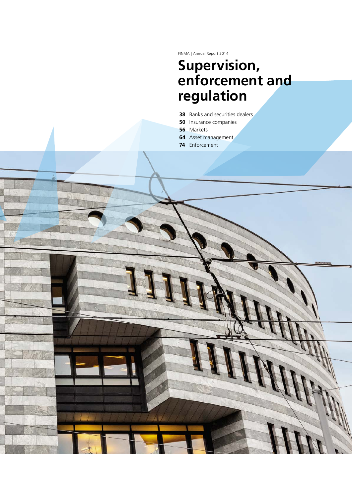FINMA | Annual Report 2014

# **Supervision, enforcement and regulation**

- **38** Banks and securities dealers
- **50** Insurance companies
- **56** Markets
- **64** Asset management
- **74** Enforcement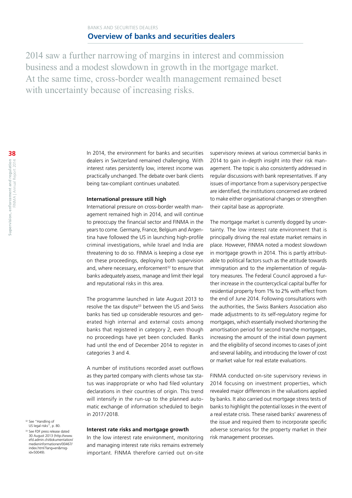2014 saw a further narrowing of margins in interest and commission business and a modest slowdown in growth in the mortgage market. At the same time, cross-border wealth management remained beset with uncertainty because of increasing risks.

> In 2014, the environment for banks and securities dealers in Switzerland remained challenging. With interest rates persistently low, interest income was practically unchanged. The debate over bank clients being tax-compliant continues unabated.

#### **International pressure still high**

International pressure on cross-border wealth management remained high in 2014, and will continue to preoccupy the financial sector and FINMA in the years to come. Germany, France, Belgium and Argentina have followed the US in launching high-profile criminal investigations, while Israel and India are threatening to do so. FINMA is keeping a close eye on these proceedings, deploying both supervision and, where necessary, enforcement<sup>32</sup> to ensure that banks adequately assess, manage and limit their legal and reputational risks in this area.

The programme launched in late August 2013 to resolve the tax dispute<sup>33</sup> between the US and Swiss banks has tied up considerable resources and generated high internal and external costs among banks that registered in category 2, even though no proceedings have yet been concluded. Banks had until the end of December 2014 to register in categories 3 and 4.

A number of institutions recorded asset outflows as they parted company with clients whose tax status was inappropriate or who had filed voluntary declarations in their countries of origin. This trend will intensify in the run-up to the planned automatic exchange of information scheduled to begin in 2017/2018.

#### **Interest rate risks and mortgage growth**

In the low interest rate environment, monitoring and managing interest rate risks remains extremely important. FINMA therefore carried out on-site

supervisory reviews at various commercial banks in 2014 to gain in-depth insight into their risk management. The topic is also consistently addressed in regular discussions with bank representatives. If any issues of importance from a supervisory perspective are identified, the institutions concerned are ordered to make either organisational changes or strengthen their capital base as appropriate.

The mortgage market is currently dogged by uncertainty. The low interest rate environment that is principally driving the real estate market remains in place. However, FINMA noted a modest slowdown in mortgage growth in 2014. This is partly attributable to political factors such as the attitude towards immigration and to the implementation of regulatory measures. The Federal Council approved a further increase in the countercyclical capital buffer for residential property from 1% to 2% with effect from the end of June 2014. Following consultations with the authorities, the Swiss Bankers Association also made adjustments to its self-regulatory regime for mortgages, which essentially involved shortening the amortisation period for second tranche mortgages, increasing the amount of the initial down payment and the eligibility of second incomes to cases of joint and several liability, and introducing the lower of cost or market value for real estate evaluations.

FINMA conducted on-site supervisory reviews in 2014 focusing on investment properties, which revealed major differences in the valuations applied by banks. It also carried out mortgage stress tests of banks to highlight the potential losses in the event of a real estate crisis. These raised banks' awareness of the issue and required them to incorporate specific adverse scenarios for the property market in their risk management processes.

<sup>32</sup> See "Handling of US legal risks", p. 80.

<sup>33</sup> See FDF press release dated 30 August 2013 ([http://www.](http://www.efd.admin.ch/dokumentation/medieninformationen/00467/index.html?lang=en&msg-id=50049) [efd.admin.ch/dokumentation/](http://www.efd.admin.ch/dokumentation/medieninformationen/00467/index.html?lang=en&msg-id=50049) [medieninformationen/00467/](http://www.efd.admin.ch/dokumentation/medieninformationen/00467/index.html?lang=en&msg-id=50049) [index.html?lang=en&msg](http://www.efd.admin.ch/dokumentation/medieninformationen/00467/index.html?lang=en&msg-id=50049)[id=50049](http://www.efd.admin.ch/dokumentation/medieninformationen/00467/index.html?lang=en&msg-id=50049)).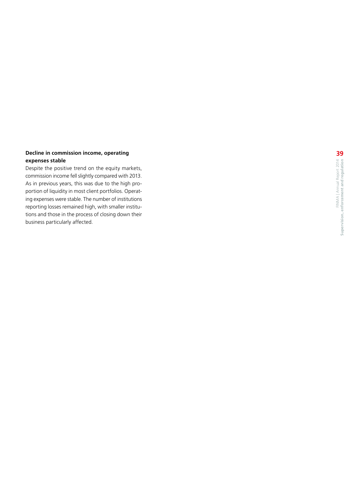#### **Decline in commission income, operating expenses stable**

Despite the positive trend on the equity markets, commission income fell slightly compared with 2013. As in previous years, this was due to the high pro portion of liquidity in most client portfolios. Operat ing expenses were stable. The number of institutions reporting losses remained high, with smaller institu tions and those in the process of closing down their business particularly affected.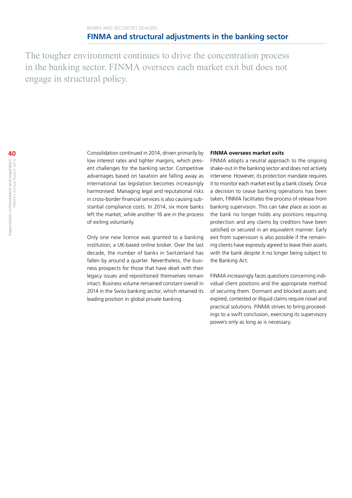The tougher environment continues to drive the concentration process in the banking sector. FINMA oversees each market exit but does not engage in structural policy.

Consolidation continued in 2014, driven primarily by low interest rates and tighter margins, which present challenges for the banking sector. Competitive advantages based on taxation are falling away as international tax legislation becomes increasingly harmonised. Managing legal and reputational risks in cross-border financial services is also causing substantial compliance costs. In 2014, six more banks left the market, while another 16 are in the process of exiting voluntarily.

Only one new licence was granted to a banking institution, a UK-based online broker. Over the last decade, the number of banks in Switzerland has fallen by around a quarter. Nevertheless, the business prospects for those that have dealt with their legacy issues and repositioned themselves remain intact. Business volume remained constant overall in 2014 in the Swiss banking sector, which retained its leading position in global private banking.

#### **FINMA oversees market exits**

FINMA adopts a neutral approach to the ongoing shake-out in the banking sector and does not actively intervene. However, its protection mandate requires it to monitor each market exit by a bank closely. Once a decision to cease banking operations has been taken, FINMA facilitates the process of release from banking supervision. This can take place as soon as the bank no longer holds any positions requiring protection and any claims by creditors have been satisfied or secured in an equivalent manner. Early exit from supervision is also possible if the remaining clients have expressly agreed to leave their assets with the bank despite it no longer being subject to the Banking Act.

FINMA increasingly faces questions concerning individual client positions and the appropriate method of securing them. Dormant and blocked assets and expired, contested or illiquid claims require novel and practical solutions. FINMA strives to bring proceedings to a swift conclusion, exercising its supervisory powers only as long as is necessary.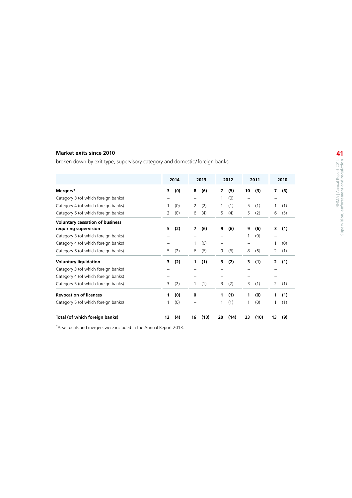#### **Market exits since 2010**

broken down by exit type, supervisory category and domestic /foreign banks

|                                        |    | 2014 |    | 2013 |    | 2012 |    | 2011 |                | 2010 |
|----------------------------------------|----|------|----|------|----|------|----|------|----------------|------|
| Mergers*                               | 3  | (0)  | 8  | (6)  | 7  | (5)  | 10 | (3)  | 7              | (6)  |
| Category 3 (of which foreign banks)    |    |      |    |      | 1  | (0)  | —  |      |                |      |
| Category 4 (of which foreign banks)    | 1  | (0)  | 2  | (2)  | 1  | (1)  | 5  | (1)  | 1              | (1)  |
| Category 5 (of which foreign banks)    | 2  | (0)  | 6  | (4)  | 5  | (4)  | 5  | (2)  | 6              | (5)  |
| <b>Voluntary cessation of business</b> |    |      |    |      |    |      |    |      |                |      |
| requiring supervision                  | 5  | (2)  | 7  | (6)  | 9  | (6)  | 9  | (6)  | 3              | (1)  |
| Category 3 (of which foreign banks)    |    |      |    |      |    |      | 1  | (0)  |                |      |
| Category 4 (of which foreign banks)    |    |      | 1  | (0)  | -  |      | -  |      | 1              | (0)  |
| Category 5 (of which foreign banks)    | 5  | (2)  | 6  | (6)  | 9  | (6)  | 8  | (6)  | 2              | (1)  |
| <b>Voluntary liquidation</b>           | 3  | (2)  | 1  | (1)  | 3  | (2)  | 3  | (1)  | $\overline{2}$ | (1)  |
| Category 3 (of which foreign banks)    |    |      |    |      |    |      |    |      |                |      |
| Category 4 (of which foreign banks)    |    |      |    |      |    |      |    |      |                |      |
| Category 5 (of which foreign banks)    | 3  | (2)  | 1  | (1)  | 3  | (2)  | 3  | (1)  | 2              | (1)  |
| <b>Revocation of licences</b>          | 1  | (0)  | 0  |      | 1  | (1)  | 1  | (0)  | 1              | (1)  |
| Category 5 (of which foreign banks)    | 1  | (0)  |    |      | 1  | (1)  | 1  | (0)  | 1              | (1)  |
| Total (of which foreign banks)         | 12 | (4)  | 16 | (13) | 20 | (14) | 23 | (10) | 13             | (9)  |

\* Asset deals and mergers were included in the Annual Report 2013.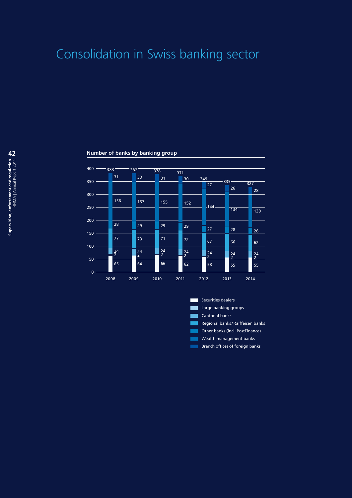# Consolidation in Swiss banking sector

#### **Number of banks by banking group**



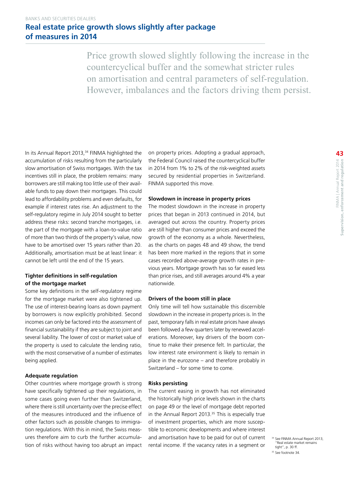Price growth slowed slightly following the increase in the countercyclical buffer and the somewhat stricter rules on amortisation and central parameters of self-regulation. However, imbalances and the factors driving them persist.

In its Annual Report 2013,<sup>34</sup> FINMA highlighted the accumulation of risks resulting from the particularly slow amortisation of Swiss mortgages. With the tax incentives still in place, the problem remains: many borrowers are still making too little use of their available funds to pay down their mortgages. This could lead to affordability problems and even defaults, for example if interest rates rise. An adjustment to the self-regulatory regime in July 2014 sought to better address these risks: second tranche mortgages, i.e. the part of the mortgage with a loan-to-value ratio of more than two thirds of the property's value, now have to be amortised over 15 years rather than 20. Additionally, amortisation must be at least linear: it cannot be left until the end of the 15 years.

#### **Tighter definitions in self-regulation of the mortgage market**

Some key definitions in the self-regulatory regime for the mortgage market were also tightened up. The use of interest-bearing loans as down payment by borrowers is now explicitly prohibited. Second incomes can only be factored into the assessment of financial sustainability if they are subject to joint and several liability. The lower of cost or market value of the property is used to calculate the lending ratio, with the most conservative of a number of estimates being applied.

#### **Adequate regulation**

Other countries where mortgage growth is strong have specifically tightened up their regulations, in some cases going even further than Switzerland, where there is still uncertainty over the precise effect of the measures introduced and the influence of other factors such as possible changes to immigration regulations. With this in mind, the Swiss measures therefore aim to curb the further accumulation of risks without having too abrupt an impact on property prices. Adopting a gradual approach, the Federal Council raised the countercyclical buffer in 2014 from 1% to 2% of the risk-weighted assets secured by residential properties in Switzerland. FINMA supported this move.

#### **Slowdown in increase in property prices**

The modest slowdown in the increase in property prices that began in 2013 continued in 2014, but averaged out across the country. Property prices are still higher than consumer prices and exceed the growth of the economy as a whole. Nevertheless, as the charts on pages 48 and 49 show, the trend has been more marked in the regions that in some cases recorded above-average growth rates in previous years. Mortgage growth has so far eased less than price rises, and still averages around 4% a year nationwide.

#### **Drivers of the boom still in place**

Only time will tell how sustainable this discernible slowdown in the increase in property prices is. In the past, temporary falls in real estate prices have always been followed a few quarters later by renewed accelerations. Moreover, key drivers of the boom continue to make their presence felt. In particular, the low interest rate environment is likely to remain in place in the eurozone – and therefore probably in Switzerland – for some time to come.

#### **Risks persisting**

The current easing in growth has not eliminated the historically high price levels shown in the charts on page 49 or the level of mortgage debt reported in the Annual Report 2013.<sup>35</sup> This is especially true of investment properties, which are more susceptible to economic developments and where interest and amortisation have to be paid for out of current rental income. If the vacancy rates in a segment or

<sup>&</sup>lt;sup>1</sup> See FINMA Annual Report 2013, "Real estate market remains tight", p. 30 ff. <sup>35</sup> See footnote 34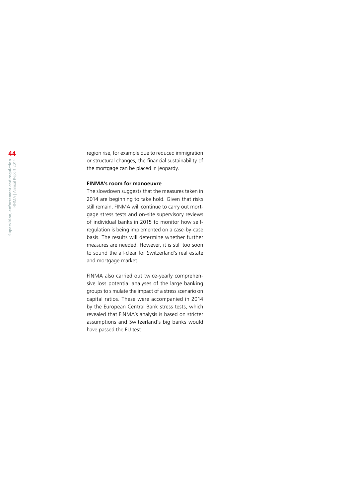region rise, for example due to reduced immigration or structural changes, the financial sustainability of the mortgage can be placed in jeopardy.

#### **FINMA's room for manoeuvre**

The slowdown suggests that the measures taken in 2014 are beginning to take hold. Given that risks still remain, FINMA will continue to carry out mortgage stress tests and on-site supervisory reviews of individual banks in 2015 to monitor how selfregulation is being implemented on a case-by-case basis. The results will determine whether further measures are needed. However, it is still too soon to sound the all-clear for Switzerland's real estate and mortgage market.

FINMA also carried out twice-yearly comprehensive loss potential analyses of the large banking groups to simulate the impact of a stress scenario on capital ratios. These were accompanied in 2014 by the European Central Bank stress tests, which revealed that FINMA's analysis is based on stricter assumptions and Switzerland's big banks would have passed the EU test.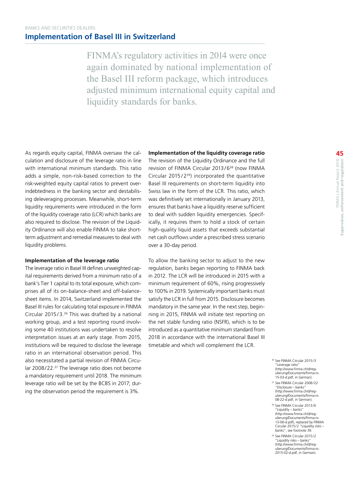FINMA's regulatory activities in 2014 were once again dominated by national implementation of the Basel III reform package, which introduces adjusted minimum international equity capital and liquidity standards for banks.

As regards equity capital, FINMA oversaw the calculation and disclosure of the leverage ratio in line with international minimum standards. This ratio adds a simple, non-risk-based correction to the risk-weighted equity capital ratios to prevent overindebtedness in the banking sector and destabilising deleveraging processes. Meanwhile, short-term liquidity requirements were introduced in the form of the liquidity coverage ratio (LCR) which banks are also required to disclose. The revision of the Liquidity Ordinance will also enable FINMA to take shortterm adjustment and remedial measures to deal with liquidity problems.

#### **Implementation of the leverage ratio**

The leverage ratio in Basel III defines unweighted capital requirements derived from a minimum ratio of a bank's Tier 1 capital to its total exposure, which comprises all of its on-balance-sheet and off-balancesheet items. In 2014, Switzerland implemented the Basel III rules for calculating total exposure in FINMA Circular 2015/3. $36$  This was drafted by a national working group, and a test reporting round involving some 40 institutions was undertaken to resolve interpretation issues at an early stage. From 2015, institutions will be required to disclose the leverage ratio in an international observation period. This also necessitated a partial revision of FINMA Circular 2008/22.37 The leverage ratio does not become a mandatory requirement until 2018. The minimum leverage ratio will be set by the BCBS in 2017; during the observation period the requirement is 3%.

**Implementation of the liquidity coverage ratio**

The revision of the Liquidity Ordinance and the full revision of FINMA Circular 2013/6<sup>38</sup> (now FINMA Circular  $2015/2^{39}$ ) incorporated the quantitative Basel III requirements on short-term liquidity into Swiss law in the form of the LCR. This ratio, which was definitively set internationally in January 2013, ensures that banks have a liquidity reserve sufficient to deal with sudden liquidity emergencies. Specifically, it requires them to hold a stock of certain high-quality liquid assets that exceeds substantial net cash outflows under a prescribed stress scenario over a 30-day period.

To allow the banking sector to adjust to the new regulation, banks began reporting to FINMA back in 2012. The LCR will be introduced in 2015 with a minimum requirement of 60%, rising progressively to 100% in 2019. Systemically important banks must satisfy the LCR in full from 2015. Disclosure becomes mandatory in the same year. In the next step, beginning in 2015, FINMA will initiate test reporting on the net stable funding ratio (NSFR), which is to be introduced as a quantitative minimum standard from 2018 in accordance with the international Basel III timetable and which will complement the LCR.

- <sup>36</sup> See FINMA Circular 2015/3 "Leverage ratio" [\(http://www.finma.ch/d/reg](http://www.finma.ch/d/regulierung/Documents/finma-rs-15-03-d.pdf)ulierung/Documents/finma [15-03-d.pdf, in German](http://www.finma.ch/d/regulierung/Documents/finma-rs-15-03-d.pdf)).
- <sup>37</sup> See FINMA Circular 2008/22 "Disclosure – banks" [\(http://www.finma.ch/d/reg](http://www.finma.ch/d/regulierung/Documents/finma-rs-08-22-d.pdf)[ulierung/Documents/finma-rs-](http://www.finma.ch/d/regulierung/Documents/finma-rs-08-22-d.pdf)[08-22-d.pdf,](http://www.finma.ch/d/regulierung/Documents/finma-rs-08-22-d.pdf) in German).
- <sup>38</sup> See FINMA Circular 2013/6 "Liquidity – banks" [\(http://www.finma.ch/d/reg](http://www.finma.ch/d/regulierung/Documents/finma-rs-13-06-d.pdf)ulierung/Documents/finma [13-06-d.pdf\)](http://www.finma.ch/d/regulierung/Documents/finma-rs-13-06-d.pdf), replaced by FINMA Circular 2015/2 "Liquidity risks – banks", see footnote 39.
- <sup>39</sup> See FINMA Circular 2015/2 "Liquidity risks – banks" [\(http://www.finma.ch/d/reg](http://www.finma.ch/d/regulierung/Documents/finma-rs-2015-02-d.pdf)-[ulierung/Documents/finma-rs-](http://www.finma.ch/d/regulierung/Documents/finma-rs-2015-02-d.pdf)[2015-02-d.pdf](http://www.finma.ch/d/regulierung/Documents/finma-rs-2015-02-d.pdf), in German).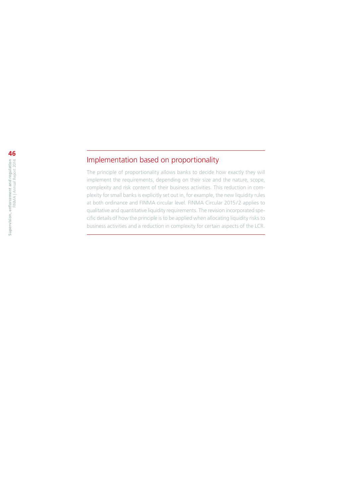### Implementation based on proportionality

The principle of proportionality allows banks to decide how exactly they will implement the requirements, depending on their size and the nature, scope, complexity and risk content of their business activities. This reduction in complexity for small banks is explicitly set out in, for example, the new liquidity rules at both ordinance and FINMA circular level. FINMA Circular 2015/2 applies to qualitative and quantitative liquidity requirements. The revision incorporated specific details of how the principle is to be applied when allocating liquidity risks to business activities and a reduction in complexity for certain aspects of the LCR.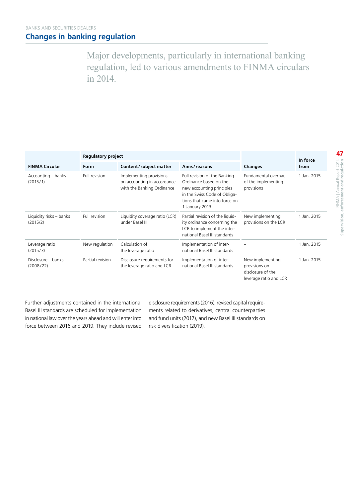Major developments, particularly in international banking regulation, led to various amendments to FINMA circulars in 2014.

|                                     | <b>Regulatory project</b> |                                                                                      |                                                                                                                                                                        | In force                                                                         |             |
|-------------------------------------|---------------------------|--------------------------------------------------------------------------------------|------------------------------------------------------------------------------------------------------------------------------------------------------------------------|----------------------------------------------------------------------------------|-------------|
| <b>FINMA Circular</b>               | Form                      | Content/subject matter                                                               | Aims/reasons                                                                                                                                                           | Changes                                                                          | from        |
| Accounting – banks<br>(2015/1)      | Full revision             | Implementing provisions<br>on accounting in accordance<br>with the Banking Ordinance | Full revision of the Banking<br>Ordinance based on the<br>new accounting principles<br>in the Swiss Code of Obliga-<br>tions that came into force on<br>1 January 2013 | Fundamental overhaul<br>of the implementing<br>provisions                        | 1 Jan. 2015 |
| Liquidity risks - banks<br>(2015/2) | Full revision             | Liquidity coverage ratio (LCR)<br>under Basel III                                    | Partial revision of the liquid-<br>ity ordinance concerning the<br>LCR to implement the inter-<br>national Basel III standards                                         | New implementing<br>provisions on the LCR                                        | 1 Jan. 2015 |
| Leverage ratio<br>(2015/3)          | New regulation            | Calculation of<br>the leverage ratio                                                 | Implementation of inter-<br>national Basel III standards                                                                                                               |                                                                                  | 1 Jan. 2015 |
| Disclosure – banks<br>(2008/22)     | Partial revision          | Disclosure requirements for<br>the leverage ratio and LCR                            | Implementation of inter-<br>national Basel III standards                                                                                                               | New implementing<br>provisions on<br>disclosure of the<br>leverage ratio and LCR | 1 Jan. 2015 |

Further adjustments contained in the international Basel III standards are scheduled for implementation in national law over the years ahead and will enter into force between 2016 and 2019. They include revised disclosure requirements (2016), revised capital requirements related to derivatives, central counterparties and fund units (2017), and new Basel III standards on risk diversification (2019).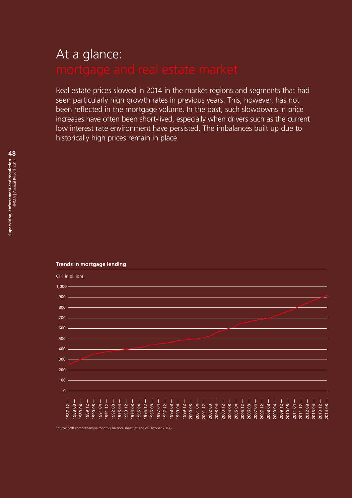# At a glance:

Real estate prices slowed in 2014 in the market regions and segments that had seen particularly high growth rates in previous years. This, however, has not been reflected in the mortgage volume. In the past, such slowdowns in price increases have often been short-lived, especially when drivers such as the current low interest rate environment have persisted. The imbalances built up due to historically high prices remain in place.



#### **Trends in mortgage lending**

Source: SNB comprehensive monthly balance sheet (at end of October 2014).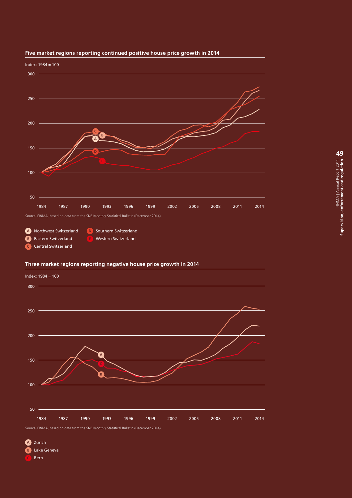

#### **Five market regions reporting continued positive house price growth in 2014**

#### **Three market regions reporting negative house price growth in 2014**



Source: FINMA, based on data from the SNB Monthly Statistical Bulletin (December 2014).

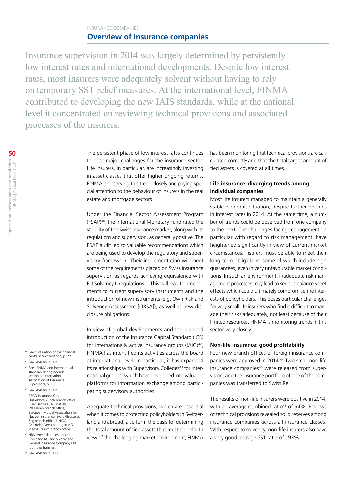#### INSURANCE COMPANIES **Overview of insurance companies**

Insurance supervision in 2014 was largely determined by persistently low interest rates and international developments. Despite low interest rates, most insurers were adequately solvent without having to rely on temporary SST relief measures. At the international level, FINMA contributed to developing the new IAIS standards, while at the national level it concentrated on reviewing technical provisions and associated processes of the insurers.

> The persistent phase of low interest rates continues to pose major challenges for the insurance sector. Life insurers, in particular, are increasingly investing in asset classes that offer higher ongoing returns. FINMA is observing this trend closely and paying special attention to the behaviour of insurers in the real estate and mortgage sectors.

> Under the Financial Sector Assessment Program (FSAP)40, the International Monetary Fund rated the stability of the Swiss insurance market, along with its regulations and supervision, as generally positive. The FSAP audit led to valuable recommendations which are being used to develop the regulatory and supervisory framework. Their implementation will meet some of the requirements placed on Swiss insurance supervision as regards achieving equivalence with EU Solvency II regulations.<sup>41</sup> This will lead to amendments to current supervisory instruments and the introduction of new instruments (e.g. Own Risk and Solvency Assessment [ORSA]), as well as new disclosure obligations.

> In view of global developments and the planned introduction of the Insurance Capital Standard (ICS) for internationally active insurance groups (IAIG)<sup>42</sup>, FINMA has intensified its activities across the board at international level. In particular, it has expanded its relationships with Supervisory Colleges<sup>43</sup> for international groups, which have developed into valuable platforms for information exchange among participating supervisory authorities.

> Adequate technical provisions, which are essential when it comes to protecting policyholders in Switzerland and abroad, also form the basis for determining the total amount of tied assets that must be held. In view of the challenging market environment, FINMA

has been monitoring that technical provisions are calculated correctly and that the total target amount of tied assets is covered at all times.

#### **Life insurance: diverging trends among individual companies**

Most life insurers managed to maintain a generally stable economic situation, despite further declines in interest rates in 2014. At the same time, a number of trends could be observed from one company to the next. The challenges facing management, in particular with regard to risk management, have heightened significantly in view of current market circumstances. Insurers must be able to meet their long-term obligations, some of which include high guarantees, even in very unfavourable market conditions. In such an environment, inadequate risk management processes may lead to serious balance sheet effects which could ultimately compromise the interests of policyholders. This poses particular challenges for very small life insurers who find it difficult to manage their risks adequately, not least because of their limited resources. FINMA is monitoring trends in this sector very closely.

#### **Non-life insurance: good profitability**

Four new branch offices of foreign insurance companies were approved in 2014.<sup>44</sup> Two small non-life insurance companies<sup>45</sup> were released from supervision, and the insurance portfolio of one of the companies was transferred to Swiss Re.

The results of non-life insurers were positive in 2014, with an average combined ratio<sup>46</sup> of 94%. Reviews of technical provisions revealed solid reserves among insurance companies across all insurance classes. With respect to solvency, non-life insurers also have a very good average SST ratio of 193%.

- <sup>40</sup> See "Evaluation of the financial centre in Switzerland", p. 22. <sup>41</sup> See Glossary, p. 115.
- <sup>42</sup> See "FINMA and international standard-setting bodies", section on International Association of Insurance Supervisors, p. 18.
- <sup>43</sup> See Glossary, p. 115
- <sup>44</sup> ERGO Insurance Group, Düsseldorf, Zurich branch office; Euler Hermes SA, Brussels, Wallisellen branch office; European Mutual Association for Nuclear Insurance, Evere (Brussels), Zug branch office; UNIQA Österreich Versicherungen AG, Vienna, Zurich branch office.
- <sup>45</sup> NBM-Amstelland Insurance Company AG and Switzerland General Insurance Company Ltd (portfolio transfer).
- <sup>46</sup> See Glossary, p. 113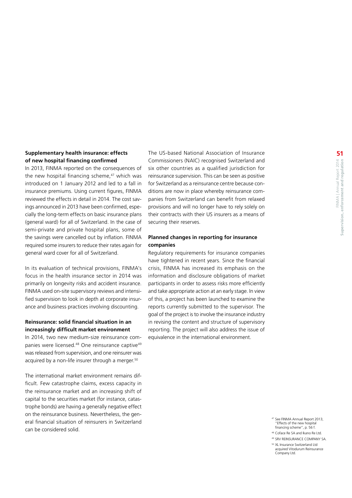#### **Supplementary health insurance: effects of new hospital financing confirmed**

In 2013, FINMA reported on the consequences of the new hospital financing scheme,<sup>47</sup> which was introduced on 1 January 2012 and led to a fall in insurance premiums. Using current figures, FINMA reviewed the effects in detail in 2014. The cost savings announced in 2013 have been confirmed, especially the long-term effects on basic insurance plans (general ward) for all of Switzerland. In the case of semi-private and private hospital plans, some of the savings were cancelled out by inflation. FINMA required some insurers to reduce their rates again for general ward cover for all of Switzerland.

In its evaluation of technical provisions, FINMA's focus in the health insurance sector in 2014 was primarily on longevity risks and accident insurance. FINMA used on-site supervisory reviews and intensified supervision to look in depth at corporate insurance and business practices involving discounting.

#### **Reinsurance: solid financial situation in an increasingly difficult market environment**

In 2014, two new medium-size reinsurance companies were licensed.<sup>48</sup> One reinsurance captive<sup>49</sup> was released from supervision, and one reinsurer was acquired by a non-life insurer through a merger.<sup>50</sup>

The international market environment remains difficult. Few catastrophe claims, excess capacity in the reinsurance market and an increasing shift of capital to the securities market (for instance, catastrophe bonds) are having a generally negative effect on the reinsurance business. Nevertheless, the general financial situation of reinsurers in Switzerland can be considered solid.

The US-based National Association of Insurance Commissioners (NAIC) recognised Switzerland and six other countries as a qualified jurisdiction for reinsurance supervision. This can be seen as positive for Switzerland as a reinsurance centre because conditions are now in place whereby reinsurance companies from Switzerland can benefit from relaxed provisions and will no longer have to rely solely on their contracts with their US insurers as a means of securing their reserves.

#### **Planned changes in reporting for insurance companies**

Regulatory requirements for insurance companies have tightened in recent years. Since the financial crisis, FINMA has increased its emphasis on the information and disclosure obligations of market participants in order to assess risks more efficiently and take appropriate action at an early stage. In view of this, a project has been launched to examine the reports currently submitted to the supervisor. The goal of the project is to involve the insurance industry in revising the content and structure of supervisory reporting. The project will also address the issue of equivalence in the international environment.

<sup>47</sup> See FINMA Annual Report 2013, "Effects of the new hospital financing scheme", p. 56 f.

<sup>48</sup> Coface Re SA and Ikano Re Ltd.

<sup>49</sup> SRV REINSURANCE COMPANY SA.

<sup>50</sup> XL Insurance Switzerland Ltd acquired Vitodurum Reinsurance Company Ltd.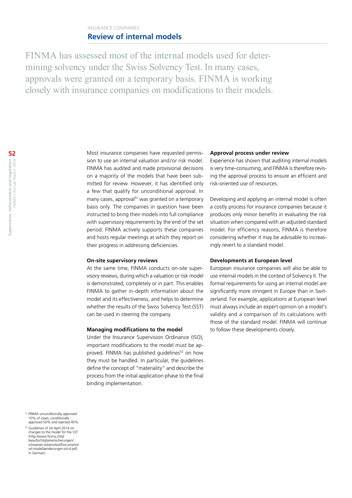#### INSURANCE COMPANIES **Review of internal models**

FINMA has assessed most of the internal models used for determining solvency under the Swiss Solvency Test. In many cases, approvals were granted on a temporary basis. FINMA is working closely with insurance companies on modifications to their models.

> Most insurance companies have requested permission to use an internal valuation and/or risk model. FINMA has audited and made provisional decisions on a majority of the models that have been submitted for review. However, it has identified only a few that qualify for unconditional approval. In many cases, approval<sup>51</sup> was granted on a temporary basis only. The companies in question have been instructed to bring their models into full compliance with supervisory requirements by the end of the set period. FINMA actively supports these companies and hosts regular meetings at which they report on their progress in addressing deficiencies.

#### **On-site supervisory reviews**

At the same time, FINMA conducts on-site supervisory reviews, during which a valuation or risk model is demonstrated, completely or in part. This enables FINMA to gather in-depth information about the model and its effectiveness, and helps to determine whether the results of the Swiss Solvency Test (SST) can be used in steering the company.

#### **Managing modifications to the model**

Under the Insurance Supervision Ordinance (ISO), important modifications to the model must be approved. FINMA has published guidelines<sup>52</sup> on how they must be handled. In particular, the guidelines define the concept of "materiality" and describe the process from the initial application phase to the final binding implementation.

#### **Approval process under review**

Experience has shown that auditing internal models is very time-consuming, and FINMA is therefore revising the approval process to ensure an efficient and risk-oriented use of resources.

Developing and applying an internal model is often a costly process for insurance companies because it produces only minor benefits in evaluating the risk situation when compared with an adjusted standard model. For efficiency reasons, FINMA is therefore considering whether it may be advisable to increasingly revert to a standard model.

#### **Developments at European level**

European insurance companies will also be able to use internal models in the context of Solvency II. The formal requirements for using an internal model are significantly more stringent in Europe than in Switzerland. For example, applications at European level must always include an expert opinion on a model's validity and a comparison of its calculations with those of the standard model. FINMA will continue to follow these developments closely.

<sup>51</sup> FINMA unconditionally approved 10% of cases, conditionally approved 50% and rejected 40%.

<sup>52</sup> Guidelines of 24 April 2014 on changes to the model for the SST ([http://www.finma.ch/d/](http://www.finma.ch/d/beaufsichtigte/versicherungen/schweizer-solvenztest/Documents/wl-modellaenderungen-sst-d.pdf) [beaufsichtigte/versicherungen/](http://www.finma.ch/d/beaufsichtigte/versicherungen/schweizer-solvenztest/Documents/wl-modellaenderungen-sst-d.pdf) [schweizer-solvenztest/Documents/](http://www.finma.ch/d/beaufsichtigte/versicherungen/schweizer-solvenztest/Documents/wl-modellaenderungen-sst-d.pdf) [wl-modellaenderungen-sst-d.pdf](http://www.finma.ch/d/beaufsichtigte/versicherungen/schweizer-solvenztest/Documents/wl-modellaenderungen-sst-d.pdf), in German).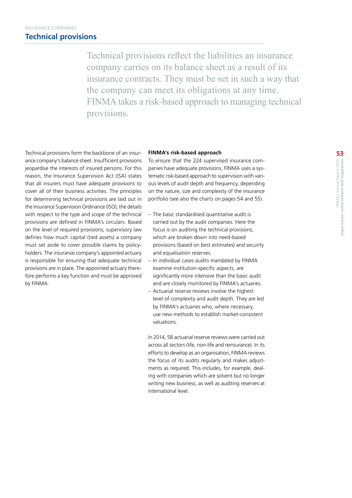Technical provisions reflect the liabilities an insurance company carries on its balance sheet as a result of its insurance contracts. They must be set in such a way that the company can meet its obligations at any time. FINMA takes a risk-based approach to managing technical provisions.

Technical provisions form the backbone of an insurance company's balance sheet. Insufficient provisions jeopardise the interests of insured persons. For this reason, the Insurance Supervision Act (ISA) states that all insurers must have adequate provisions to cover all of their business activities. The principles for determining technical provisions are laid out in the Insurance Supervision Ordinance (ISO); the details with respect to the type and scope of the technical provisions are defined in FINMA's circulars. Based on the level of required provisions, supervisory law defines how much capital (tied assets) a company must set aside to cover possible claims by policyholders. The insurance company's appointed actuary is responsible for ensuring that adequate technical provisions are in place. The appointed actuary therefore performs a key function and must be approved by FINMA.

#### **FINMA's risk-based approach**

To ensure that the 224 supervised insurance companies have adequate provisions, FINMA uses a systematic risk-based approach to supervision with various levels of audit depth and frequency, depending on the nature, size and complexity of the insurance portfolio (see also the charts on pages 54 and 55).

- The basic standardised quantitative audit is carried out by the audit companies. Here the focus is on auditing the technical provisions, which are broken down into need-based provisions (based on best estimates) and security and equalisation reserves.
- In individual cases audits mandated by FINMA examine institution-specific aspects, are significantly more intensive than the basic audit and are closely monitored by FINMA's actuaries.
- Actuarial reserve reviews involve the highest level of complexity and audit depth. They are led by FINMA's actuaries who, where necessary, use new methods to establish market-consistent valuations.

In 2014, 58 actuarial reserve reviews were carried out across all sectors (life, non-life and reinsurance). In its efforts to develop as an organisation, FINMA reviews the focus of its audits regularly and makes adjustments as required. This includes, for example, dealing with companies which are solvent but no longer writing new business, as well as auditing reserves at international level.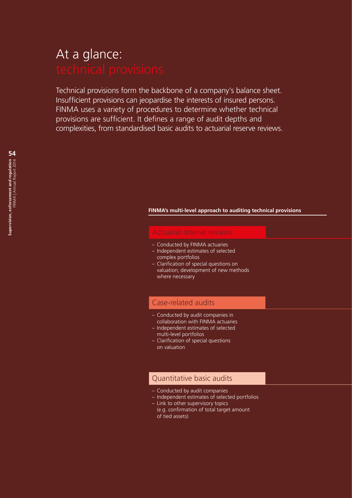# At a glance:

Technical provisions form the backbone of a company's balance sheet. Insufficient provisions can jeopardise the interests of insured persons. FINMA uses a variety of procedures to determine whether technical provisions are sufficient. It defines a range of audit depths and complexities, from standardised basic audits to actuarial reserve reviews.

#### **FINMA's multi-level approach to auditing technical provisions**

- Conducted by FINMA actuaries
- Independent estimates of selected complex portfolios
- Clarification of special questions on valuation; development of new methods where necessary

#### Case-related audits

- Conducted by audit companies in collaboration with FINMA actuaries
- Independent estimates of selected multi-level portfolios
- Clarification of special questions on valuation

#### Quantitative basic audits

- Conducted by audit companies
- Independent estimates of selected portfolios
- Link to other supervisory topics (e.g. confirmation of total target amount of tied assets)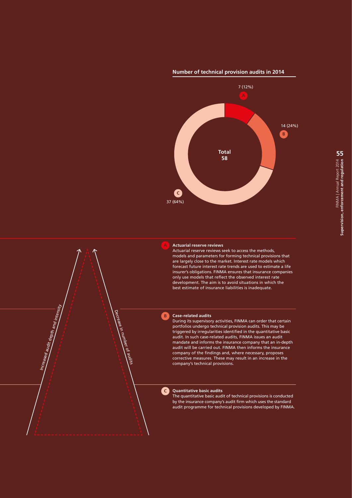#### **Number of technical provision audits in 2014**





Actuarial reserve reviews seek to access the methods, models and parameters for forming technical provisions that are largely close to the market. Interest rate models which forecast future interest rate trends are used to estimate a life insurer's obligations. FINMA ensures that insurance companies only use models that reflect the observed interest rate development. The aim is to avoid situations in which the best estimate of insurance liabilities is inadequate.

#### **Case-related audits**

**B**

**C**

Increased audit depth and intensity

Decrease in

number ୍କ a<br>Visi During its supervisory activities, FINMA can order that certain portfolios undergo technical provision audits. This may be triggered by irregularities identified in the quantitative basic audit. In such case-related audits, FINMA issues an audit mandate and informs the insurance company that an in-depth audit will be carried out. FINMA then informs the insurance company of the findings and, where necessary, proposes corrective measures. These may result in an increase in the company's technical provisions.

#### **Quantitative basic audits**

The quantitative basic audit of technical provisions is conducted by the insurance company's audit firm which uses the standard audit programme for technical provisions developed by FINMA.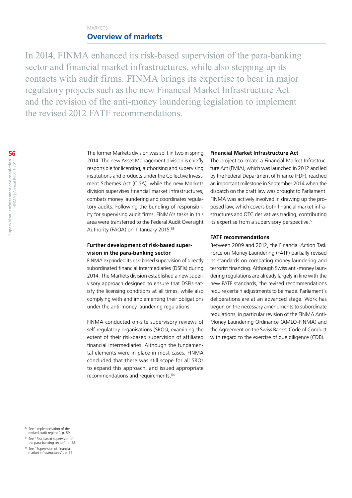#### MARKETS **Overview of markets**

In 2014, FINMA enhanced its risk-based supervision of the para-banking sector and financial market infrastructures, while also stepping up its contacts with audit firms. FINMA brings its expertise to bear in major regulatory projects such as the new Financial Market Infrastructure Act and the revision of the anti-money laundering legislation to implement the revised 2012 FATF recommendations.

> The former Markets division was split in two in spring 2014. The new Asset Management division is chiefly responsible for licensing, authorising and supervising institutions and products under the Collective Investment Schemes Act (CISA), while the new Markets division supervises financial market infrastructures, combats money laundering and coordinates regulatory audits. Following the bundling of responsibility for supervising audit firms, FINMA's tasks in this area were transferred to the Federal Audit Oversight Authority (FAOA) on 1 January 2015.<sup>53</sup>

#### **Further development of risk-based supervision in the para-banking sector**

FINMA expanded its risk-based supervision of directly subordinated financial intermediaries (DSFIs) during 2014. The Markets division established a new supervisory approach designed to ensure that DSFIs satisfy the licensing conditions at all times, while also complying with and implementing their obligations under the anti-money laundering regulations.

FINMA conducted on-site supervisory reviews of self-regulatory organisations (SROs), examining the extent of their risk-based supervision of affiliated financial intermediaries. Although the fundamental elements were in place in most cases, FINMA concluded that there was still scope for all SROs to expand this approach, and issued appropriate recommendations and requirements.<sup>54</sup>

#### **Financial Market Infrastructure Act**

The project to create a Financial Market Infrastructure Act (FMIA), which was launched in 2012 and led by the Federal Department of Finance (FDF), reached an important milestone in September 2014 when the dispatch on the draft law was brought to Parliament. FINMA was actively involved in drawing up the proposed law, which covers both financial market infrastructures and OTC derivatives trading, contributing its expertise from a supervisory perspective.<sup>55</sup>

#### **FATF recommendations**

Between 2009 and 2012, the Financial Action Task Force on Money Laundering (FATF) partially revised its standards on combating money laundering and terrorist financing. Although Swiss anti-money laundering regulations are already largely in line with the new FATF standards, the revised recommendations require certain adjustments to be made. Parliament's deliberations are at an advanced stage. Work has begun on the necessary amendments to subordinate regulations, in particular revision of the FINMA Anti-Money Laundering Ordinance (AMLO-FINMA) and the Agreement on the Swiss Banks' Code of Conduct with regard to the exercise of due diligence (CDB).

<sup>53</sup> See "Implementation of the revised audit regime", p. 59.

- <sup>54</sup> See "Risk-based supervision of the para-banking sector", p. 58.
- <sup>55</sup> See "Supervision of financial market infrastructures", p. 57.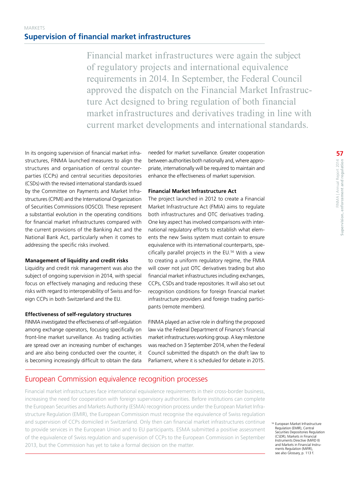Financial market infrastructures were again the subject of regulatory projects and international equivalence requirements in 2014. In September, the Federal Council approved the dispatch on the Financial Market Infrastructure Act designed to bring regulation of both financial market infrastructures and derivatives trading in line with current market developments and international standards.

In its ongoing supervision of financial market infrastructures, FINMA launched measures to align the structures and organisation of central counterparties (CCPs) and central securities depositories (CSDs) with the revised international standards issued by the Committee on Payments and Market Infrastructures (CPMI) and the International Organization of Securities Commissions (IOSCO). These represent a substantial evolution in the operating conditions for financial market infrastructures compared with the current provisions of the Banking Act and the National Bank Act, particularly when it comes to addressing the specific risks involved.

#### **Management of liquidity and credit risks**

Liquidity and credit risk management was also the subject of ongoing supervision in 2014, with special focus on effectively managing and reducing these risks with regard to interoperability of Swiss and foreign CCPs in both Switzerland and the EU.

#### **Effectiveness of self-regulatory structures**

FINMA investigated the effectiveness of self-regulation among exchange operators, focusing specifically on front-line market surveillance. As trading activities are spread over an increasing number of exchanges and are also being conducted over the counter, it is becoming increasingly difficult to obtain the data needed for market surveillance. Greater cooperation between authorities both nationally and, where appropriate, internationally will be required to maintain and enhance the effectiveness of market supervision.

#### **Financial Market Infrastructure Act**

The project launched in 2012 to create a Financial Market Infrastructure Act (FMIA) aims to regulate both infrastructures and OTC derivatives trading. One key aspect has involved comparisons with international regulatory efforts to establish what elements the new Swiss system must contain to ensure equivalence with its international counterparts, specifically parallel projects in the EU.56 With a view to creating a uniform regulatory regime, the FMIA will cover not just OTC derivatives trading but also financial market infrastructures including exchanges, CCPs, CSDs and trade repositories. It will also set out recognition conditions for foreign financial market infrastructure providers and foreign trading participants (remote members).

FINMA played an active role in drafting the proposed law via the Federal Department of Finance's financial market infrastructures working group. A key milestone was reached on 3 September 2014, when the Federal Council submitted the dispatch on the draft law to Parliament, where it is scheduled for debate in 2015.

#### European Commission equivalence recognition processes

Financial market infrastructures face international equivalence requirements in their cross-border business, increasing the need for cooperation with foreign supervisory authorities. Before institutions can complete the European Securities and Markets Authority (ESMA) recognition process under the European Market Infrastructure Regulation (EMIR), the European Commission must recognise the equivalence of Swiss regulation and supervision of CCPs domiciled in Switzerland. Only then can financial market infrastructures continue to provide services in the European Union and to EU participants. ESMA submitted a positive assessment of the equivalence of Swiss regulation and supervision of CCPs to the European Commission in September 2013, but the Commission has yet to take a formal decision on the matter.

<sup>56</sup> European Market Infrastructure Regulation (EMIR), Central Securities Depositories Regulation (CSDR), Markets in Financial Instruments Directive (MiFID II) and Markets in Financial Instruments Regulation (MiFIR) see also Glossary, p. 113 f.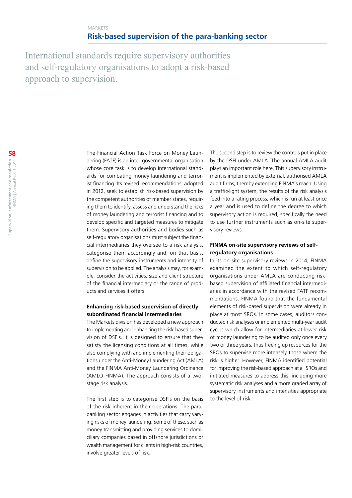International standards require supervisory authorities and self-regulatory organisations to adopt a risk-based approach to supervision.

> The Financial Action Task Force on Money Laundering (FATF) is an inter-governmental organisation whose core task is to develop international standards for combating money laundering and terrorist financing. Its revised recommendations, adopted in 2012, seek to establish risk-based supervision by the competent authorities of member states, requiring them to identify, assess and understand the risks of money laundering and terrorist financing and to develop specific and targeted measures to mitigate them. Supervisory authorities and bodies such as self-regulatory organisations must subject the financial intermediaries they oversee to a risk analysis, categorise them accordingly and, on that basis, define the supervisory instruments and intensity of supervision to be applied. The analysis may, for example, consider the activities, size and client structure of the financial intermediary or the range of products and services it offers.

#### **Enhancing risk-based supervision of directly subordinated financial intermediaries**

The Markets division has developed a new approach to implementing and enhancing the risk-based supervision of DSFIs. It is designed to ensure that they satisfy the licensing conditions at all times, while also complying with and implementing their obligations under the Anti-Money Laundering Act (AMLA) and the FINMA Anti-Money Laundering Ordinance (AMLO-FINMA). The approach consists of a twostage risk analysis.

The first step is to categorise DSFIs on the basis of the risk inherent in their operations. The parabanking sector engages in activities that carry varying risks of money laundering. Some of these, such as money transmitting and providing services to domiciliary companies based in offshore jurisdictions or wealth management for clients in high-risk countries, involve greater levels of risk.

The second step is to review the controls put in place by the DSFI under AMLA. The annual AMLA audit plays an important role here. This supervisory instrument is implemented by external, authorised AMLA audit firms, thereby extending FINMA's reach. Using a traffic-light system, the results of the risk analysis feed into a rating process, which is run at least once a year and is used to define the degree to which supervisory action is required, specifically the need to use further instruments such as on-site supervisory reviews.

#### **FINMA on-site supervisory reviews of selfregulatory organisations**

In its on-site supervisory reviews in 2014, FINMA examined the extent to which self-regulatory organisations under AMLA are conducting riskbased supervision of affiliated financial intermediaries in accordance with the revised FATF recommendations. FINMA found that the fundamental elements of risk-based supervision were already in place at most SROs. In some cases, auditors conducted risk analyses or implemented multi-year audit cycles which allow for intermediaries at lower risk of money laundering to be audited only once every two or three years, thus freeing up resources for the SROs to supervise more intensely those where the risk is higher. However, FINMA identified potential for improving the risk-based approach at all SROs and initiated measures to address this, including more systematic risk analyses and a more graded array of supervisory instruments and intensities appropriate to the level of risk.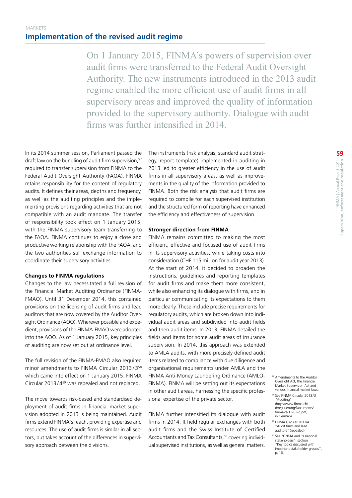On 1 January 2015, FINMA's powers of supervision over audit firms were transferred to the Federal Audit Oversight Authority. The new instruments introduced in the 2013 audit regime enabled the more efficient use of audit firms in all supervisory areas and improved the quality of information provided to the supervisory authority. Dialogue with audit firms was further intensified in 2014.

In its 2014 summer session, Parliament passed the draft law on the bundling of audit firm supervision.<sup>57</sup> required to transfer supervision from FINMA to the Federal Audit Oversight Authority (FAOA). FINMA retains responsibility for the content of regulatory audits. It defines their areas, depths and frequency, as well as the auditing principles and the implementing provisions regarding activities that are not compatible with an audit mandate. The transfer of responsibility took effect on 1 January 2015, with the FINMA supervisory team transferring to the FAOA. FINMA continues to enjoy a close and productive working relationship with the FAOA, and the two authorities still exchange information to coordinate their supervisory activities.

#### **Changes to FINMA regulations**

Changes to the law necessitated a full revision of the Financial Market Auditing Ordinance (FINMA-FMAO). Until 31 December 2014, this contained provisions on the licensing of audit firms and lead auditors that are now covered by the Auditor Oversight Ordinance (AOO). Wherever possible and expedient, provisions of the FINMA-FMAO were adopted into the AOO. As of 1 January 2015, key principles of auditing are now set out at ordinance level.

The full revision of the FINMA-FMAO also required minor amendments to FINMA Circular 2013/3<sup>58</sup> which came into effect on 1 January 2015. FINMA Circular 2013 / 459 was repealed and not replaced.

The move towards risk-based and standardised deployment of audit firms in financial market supervision adopted in 2013 is being maintained. Audit firms extend FINMA's reach, providing expertise and resources. The use of audit firms is similar in all sectors, but takes account of the differences in supervisory approach between the divisions.

The instruments (risk analysis, standard audit strategy, report template) implemented in auditing in 2013 led to greater efficiency in the use of audit firms in all supervisory areas, as well as improvements in the quality of the information provided to FINMA. Both the risk analysis that audit firms are required to compile for each supervised institution and the structured form of reporting have enhanced the efficiency and effectiveness of supervision.

#### **Stronger direction from FINMA**

FINMA remains committed to making the most efficient, effective and focused use of audit firms in its supervisory activities, while taking costs into consideration (CHF 115 million for audit year 2013). At the start of 2014, it decided to broaden the instructions, guidelines and reporting templates for audit firms and make them more consistent, while also enhancing its dialogue with firms, and in particular communicating its expectations to them more clearly. These include precise requirements for regulatory audits, which are broken down into individual audit areas and subdivided into audit fields and then audit items. In 2013, FINMA detailed the fields and items for some audit areas of insurance supervision. In 2014, this approach was extended to AMLA audits, with more precisely defined audit items related to compliance with due diligence and organisational requirements under AMLA and the FINMA Anti-Money Laundering Ordinance (AMLO-FINMA). FINMA will be setting out its expectations in other audit areas, harnessing the specific professional expertise of the private sector.

FINMA further intensified its dialogue with audit firms in 2014. It held regular exchanges with both audit firms and the Swiss Institute of Certified Accountants and Tax Consultants,<sup>60</sup> covering individual supervised institutions, as well as general matters.

- <sup>57</sup> Amendments to the Auditor Oversight Act, the Financial Market Supervision Act and various financial market laws.
- <sup>58</sup> See FINMA Circular 2013/3 "Auditing" [\(http://www.finma.ch/](http://www.finma.ch/d/regulierung/Documents/finma-rs-13-03-d.pdf) [d/regulierung/Documents/](http://www.finma.ch/d/regulierung/Documents/finma-rs-13-03-d.pdf) [finma-rs-13-03-d.pdf,](http://www.finma.ch/d/regulierung/Documents/finma-rs-13-03-d.pdf)  [in German\)](http://www.finma.ch/d/regulierung/Documents/finma-rs-13-03-d.pdf).
- <sup>59</sup> FINMA Circular 2013/4 "Audit firms and lead auditors" (repealed).
- <sup>60</sup> See "FINMA and its national stakeholders", section "Key topics discussed with important stakeholder groups", p. 16.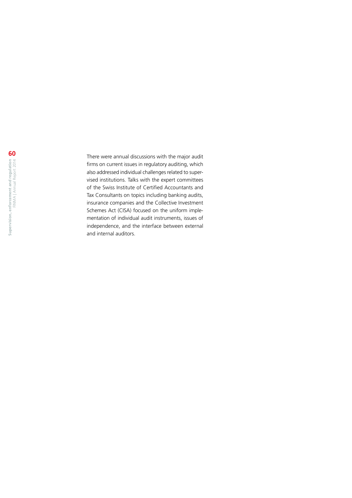There were annual discussions with the major audit firms on current issues in regulatory auditing, which also addressed individual challenges related to super vised institutions. Talks with the expert committees of the Swiss Institute of Certified Accountants and Tax Consultants on topics including banking audits, insurance companies and the Collective Investment Schemes Act (CISA) focused on the uniform imple mentation of individual audit instruments, issues of independence, and the interface between external and internal auditors.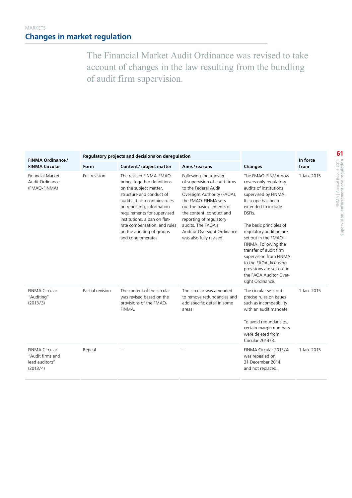The Financial Market Audit Ordinance was revised to take account of changes in the law resulting from the bundling of audit firm supervision.

| FINMA Ordinance/                                                 |                  | Regulatory projects and decisions on deregulation                                                                                                                                                                                                                                                                            |                                                                                                                                                                                                                                                                                                           | In force                                                                                                                                                                                                                                                                                                                                                                                                             |             |
|------------------------------------------------------------------|------------------|------------------------------------------------------------------------------------------------------------------------------------------------------------------------------------------------------------------------------------------------------------------------------------------------------------------------------|-----------------------------------------------------------------------------------------------------------------------------------------------------------------------------------------------------------------------------------------------------------------------------------------------------------|----------------------------------------------------------------------------------------------------------------------------------------------------------------------------------------------------------------------------------------------------------------------------------------------------------------------------------------------------------------------------------------------------------------------|-------------|
| <b>FINMA Circular</b>                                            | Form             | Content/subject matter                                                                                                                                                                                                                                                                                                       | Aims/reasons                                                                                                                                                                                                                                                                                              | <b>Changes</b>                                                                                                                                                                                                                                                                                                                                                                                                       | from        |
| <b>Financial Market</b><br>Audit Ordinance<br>(FMAO-FINMA)       | Full revision    | The revised FINMA-FMAO<br>brings together definitions<br>on the subject matter,<br>structure and conduct of<br>audits. It also contains rules<br>on reporting, information<br>requirements for supervised<br>institutions, a ban on flat-<br>rate compensation, and rules<br>on the auditing of groups<br>and conglomerates. | Following the transfer<br>of supervision of audit firms<br>to the Federal Audit<br>Oversight Authority (FAOA),<br>the FMAO-FINMA sets<br>out the basic elements of<br>the content, conduct and<br>reporting of regulatory<br>audits. The FAOA's<br>Auditor Oversight Ordinance<br>was also fully revised. | The FMAO-FINMA now<br>covers only regulatory<br>audits of institutions<br>supervised by FINMA.<br>Its scope has been<br>extended to include<br>DSFIs.<br>The basic principles of<br>regulatory auditing are<br>set out in the FMAO-<br>FINMA. Following the<br>transfer of audit firm<br>supervision from FINMA<br>to the FAOA, licensing<br>provisions are set out in<br>the FAOA Auditor Over-<br>sight Ordinance. | 1 Jan. 2015 |
| <b>FINMA Circular</b><br>"Auditing"<br>(2013/3)                  | Partial revision | The content of the circular<br>was revised based on the<br>provisions of the FMAO-<br>FINMA.                                                                                                                                                                                                                                 | The circular was amended<br>to remove redundancies and<br>add specific detail in some<br>areas.                                                                                                                                                                                                           | The circular sets out<br>precise rules on issues<br>such as incompatibility<br>with an audit mandate.<br>To avoid redundancies,<br>certain margin numbers<br>were deleted from<br>Circular 2013/3.                                                                                                                                                                                                                   | 1 Jan. 2015 |
| FINMA Circular<br>"Audit firms and<br>lead auditors"<br>(2013/4) | Repeal           |                                                                                                                                                                                                                                                                                                                              |                                                                                                                                                                                                                                                                                                           | FINMA Circular 2013/4<br>was repealed on<br>31 December 2014<br>and not replaced.                                                                                                                                                                                                                                                                                                                                    | 1 Jan. 2015 |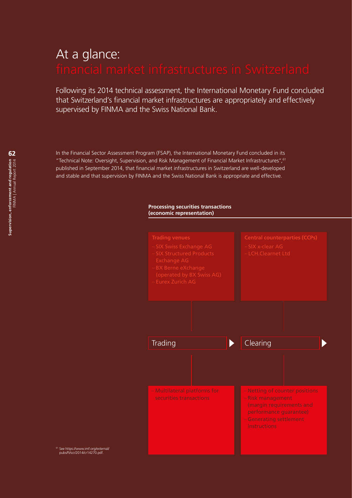# At a glance:

Following its 2014 technical assessment, the International Monetary Fund concluded that Switzerland's financial market infrastructures are appropriately and effectively supervised by FINMA and the Swiss National Bank.

In the Financial Sector Assessment Program (FSAP), the International Monetary Fund concluded in its "Technical Note: Oversight, Supervision, and Risk Management of Financial Market Infrastructures",61 published in September 2014, that financial market infrastructures in Switzerland are well-developed and stable and that supervision by FINMA and the Swiss National Bank is appropriate and effective.

#### **Processing securities transactions (economic representation)**



<sup>61</sup> See [https://www.imf.org/external/](https://www.imf.org/external/pubs/ft/scr/2014/cr14270.pdf) [pubs/ft/scr/2014/cr14270.pdf.](https://www.imf.org/external/pubs/ft/scr/2014/cr14270.pdf)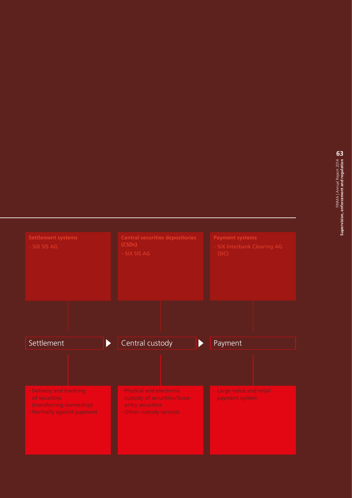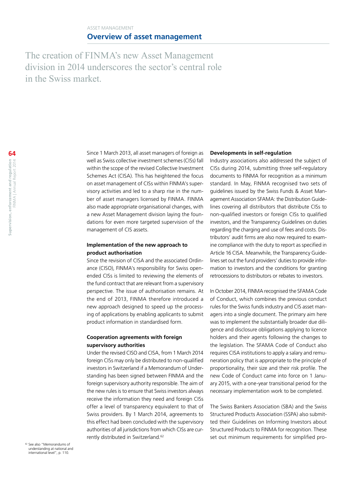The creation of FINMA's new Asset Management division in 2014 underscores the sector's central role in the Swiss market.

> Since 1 March 2013, all asset managers of foreign as well as Swiss collective investment schemes (CISs) fall within the scope of the revised Collective Investment Schemes Act (CISA). This has heightened the focus on asset management of CISs within FINMA's supervisory activities and led to a sharp rise in the number of asset managers licensed by FINMA. FINMA also made appropriate organisational changes, with a new Asset Management division laying the foundations for even more targeted supervision of the management of CIS assets.

#### **Implementation of the new approach to product authorisation**

Since the revision of CISA and the associated Ordinance (CISO), FINMA's responsibility for Swiss openended CISs is limited to reviewing the elements of the fund contract that are relevant from a supervisory perspective. The issue of authorisation remains. At the end of 2013, FINMA therefore introduced a new approach designed to speed up the processing of applications by enabling applicants to submit product information in standardised form.

#### **Cooperation agreements with foreign supervisory authorities**

Under the revised CISO and CISA, from 1 March 2014 foreign CISs may only be distributed to non-qualified investors in Switzerland if a Memorandum of Understanding has been signed between FINMA and the foreign supervisory authority responsible. The aim of the new rules is to ensure that Swiss investors always receive the information they need and foreign CISs offer a level of transparency equivalent to that of Swiss providers. By 1 March 2014, agreements to this effect had been concluded with the supervisory authorities of all jurisdictions from which CISs are currently distributed in Switzerland.<sup>62</sup>

#### **Developments in self-regulation**

Industry associations also addressed the subject of CISs during 2014, submitting three self-regulatory documents to FINMA for recognition as a minimum standard. In May, FINMA recognised two sets of guidelines issued by the Swiss Funds & Asset Management Association SFAMA: the Distribution Guidelines covering all distributors that distribute CISs to non-qualified investors or foreign CISs to qualified investors, and the Transparency Guidelines on duties regarding the charging and use of fees and costs. Distributors' audit firms are also now required to examine compliance with the duty to report as specified in Article 16 CISA. Meanwhile, the Transparency Guidelines set out the fund providers' duties to provide information to investors and the conditions for granting retrocessions to distributors or rebates to investors.

In October 2014, FINMA recognised the SFAMA Code of Conduct, which combines the previous conduct rules for the Swiss funds industry and CIS asset managers into a single document. The primary aim here was to implement the substantially broader due diligence and disclosure obligations applying to licence holders and their agents following the changes to the legislation. The SFAMA Code of Conduct also requires CISA institutions to apply a salary and remuneration policy that is appropriate to the principle of proportionality, their size and their risk profile. The new Code of Conduct came into force on 1 January 2015, with a one-year transitional period for the necessary implementation work to be completed.

The Swiss Bankers Association (SBA) and the Swiss Structured Products Association (SSPA) also submitted their Guidelines on Informing Investors about Structured Products to FINMA for recognition. These set out minimum requirements for simplified pro-

 $62$  See also "Memorandums of understanding at national and international level", p. 110.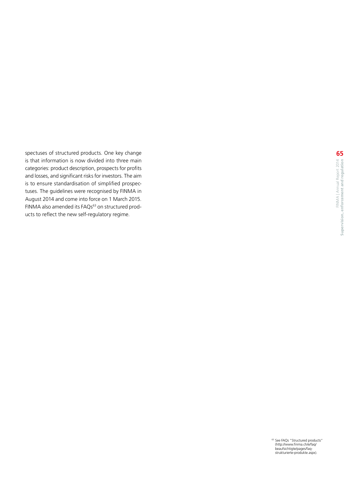spectuses of structured products. One key change is that information is now divided into three main categories: product description, prospects for profits and losses, and significant risks for investors. The aim is to ensure standardisation of simplified prospectuses. The guidelines were recognised by FINMA in August 2014 and come into force on 1 March 2015. FINMA also amended its FAQs<sup>63</sup> on structured products to reflect the new self-regulatory regime.

<sup>63</sup> See FAQs "Structured products"<br>[\(http://www.finma.ch/e/faq/](http://www.finma.ch/e/faq/beaufsichtigte/pages/faq-strukturierte-produkte.aspx)<br>[beaufsichtigte/pages/faq](http://www.finma.ch/e/faq/beaufsichtigte/pages/faq-strukturierte-produkte.aspx)[strukturierte-produkte.aspx](http://www.finma.ch/e/faq/beaufsichtigte/pages/faq-strukturierte-produkte.aspx)).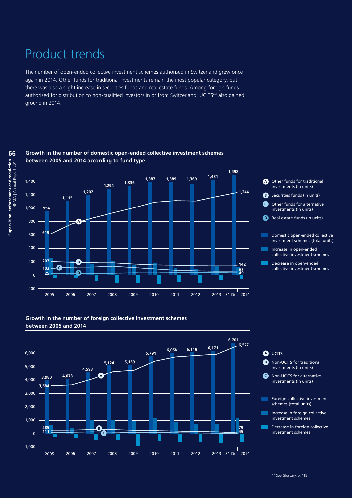# Product trends

The number of open-ended collective investment schemes authorised in Switzerland grew once again in 2014. Other funds for traditional investments remain the most popular category, but there was also a slight increase in securities funds and real estate funds. Among foreign funds authorised for distribution to non-qualified investors in or from Switzerland, UCITS<sup>64</sup> also gained ground in 2014.



#### **Growth in the number of domestic open-ended collective investment schemes between 2005 and 2014 according to fund type**

#### **Growth in the number of foreign collective investment schemes between 2005 and 2014**



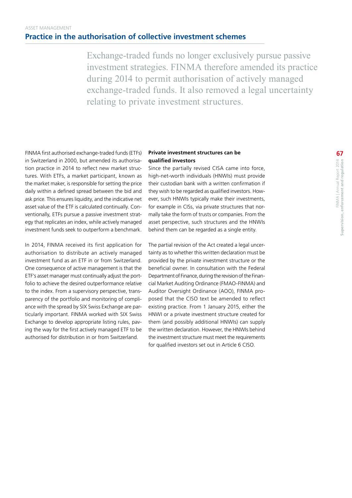Exchange-traded funds no longer exclusively pursue passive investment strategies. FINMA therefore amended its practice during 2014 to permit authorisation of actively managed exchange-traded funds. It also removed a legal uncertainty relating to private investment structures.

FINMA first authorised exchange-traded funds (ETFs) in Switzerland in 2000, but amended its authorisation practice in 2014 to reflect new market structures. With ETFs, a market participant, known as the market maker, is responsible for setting the price daily within a defined spread between the bid and ask price. This ensures liquidity, and the indicative net asset value of the ETF is calculated continually. Conventionally, ETFs pursue a passive investment strategy that replicates an index, while actively managed investment funds seek to outperform a benchmark.

In 2014, FINMA received its first application for authorisation to distribute an actively managed investment fund as an ETF in or from Switzerland. One consequence of active management is that the ETF's asset manager must continually adjust the portfolio to achieve the desired outperformance relative to the index. From a supervisory perspective, transparency of the portfolio and monitoring of compliance with the spread by SIX Swiss Exchange are particularly important. FINMA worked with SIX Swiss Exchange to develop appropriate listing rules, paving the way for the first actively managed ETF to be authorised for distribution in or from Switzerland.

#### **Private investment structures can be qualified investors**

Since the partially revised CISA came into force, high-net-worth individuals (HNWIs) must provide their custodian bank with a written confirmation if they wish to be regarded as qualified investors. However, such HNWIs typically make their investments, for example in CISs, via private structures that normally take the form of trusts or companies. From the asset perspective, such structures and the HNWIs behind them can be regarded as a single entity.

The partial revision of the Act created a legal uncertainty as to whether this written declaration must be provided by the private investment structure or the beneficial owner. In consultation with the Federal Department of Finance, during the revision of the Financial Market Auditing Ordinance (FMAO-FINMA) and Auditor Oversight Ordinance (AOO), FINMA proposed that the CISO text be amended to reflect existing practice. From 1 January 2015, either the HNWI or a private investment structure created for them (and possibly additional HNWIs) can supply the written declaration. However, the HNWIs behind the investment structure must meet the requirements for qualified investors set out in Article 6 CISO.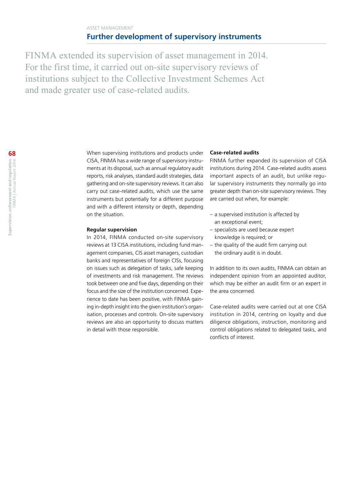#### ASSET MANAGEMENT **Further development of supervisory instruments**

FINMA extended its supervision of asset management in 2014. For the first time, it carried out on-site supervisory reviews of institutions subject to the Collective Investment Schemes Act and made greater use of case-related audits.

> When supervising institutions and products under CISA, FINMA has a wide range of supervisory instruments at its disposal, such as annual regulatory audit reports, risk analyses, standard audit strategies, data gathering and on-site supervisory reviews. It can also carry out case-related audits, which use the same instruments but potentially for a different purpose and with a different intensity or depth, depending on the situation.

#### **Regular supervision**

In 2014, FINMA conducted on-site supervisory reviews at 13 CISA institutions, including fund management companies, CIS asset managers, custodian banks and representatives of foreign CISs, focusing on issues such as delegation of tasks, safe keeping of investments and risk management. The reviews took between one and five days, depending on their focus and the size of the institution concerned. Experience to date has been positive, with FINMA gaining in-depth insight into the given institution's organisation, processes and controls. On-site supervisory reviews are also an opportunity to discuss matters in detail with those responsible.

#### **Case-related audits**

FINMA further expanded its supervision of CISA institutions during 2014. Case-related audits assess important aspects of an audit, but unlike regular supervisory instruments they normally go into greater depth than on-site supervisory reviews. They are carried out when, for example:

- a supervised institution is affected by an exceptional event;
- specialists are used because expert knowledge is required; or
- the quality of the audit firm carrying out the ordinary audit is in doubt.

In addition to its own audits, FINMA can obtain an independent opinion from an appointed auditor, which may be either an audit firm or an expert in the area concerned.

Case-related audits were carried out at one CISA institution in 2014, centring on loyalty and due diligence obligations, instruction, monitoring and control obligations related to delegated tasks, and conflicts of interest.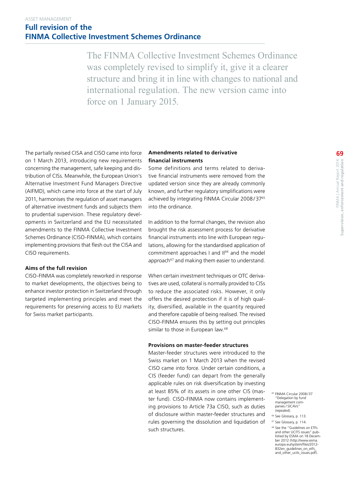The FINMA Collective Investment Schemes Ordinance was completely revised to simplify it, give it a clearer structure and bring it in line with changes to national and international regulation. The new version came into force on 1 January 2015.

The partially revised CISA and CISO came into force on 1 March 2013, introducing new requirements concerning the management, safe keeping and distribution of CISs. Meanwhile, the European Union's Alternative Investment Fund Managers Directive (AIFMD), which came into force at the start of July 2011, harmonises the regulation of asset managers of alternative investment funds and subjects them to prudential supervision. These regulatory developments in Switzerland and the EU necessitated amendments to the FINMA Collective Investment Schemes Ordinance (CISO-FINMA), which contains implementing provisions that flesh out the CISA and CISO requirements.

#### **Aims of the full revision**

CISO-FINMA was completely reworked in response to market developments, the objectives being to enhance investor protection in Switzerland through targeted implementing principles and meet the requirements for preserving access to EU markets for Swiss market participants.

#### **Amendments related to derivative financial instruments**

Some definitions and terms related to derivative financial instruments were removed from the updated version since they are already commonly known, and further regulatory simplifications were achieved by integrating FINMA Circular 2008/37<sup>65</sup> into the ordinance.

In addition to the formal changes, the revision also brought the risk assessment process for derivative financial instruments into line with European regulations, allowing for the standardised application of commitment approaches I and II<sup>66</sup> and the model approach<sup>67</sup> and making them easier to understand.

When certain investment techniques or OTC derivatives are used, collateral is normally provided to CISs to reduce the associated risks. However, it only offers the desired protection if it is of high quality, diversified, available in the quantity required and therefore capable of being realised. The revised CISO-FINMA ensures this by setting out principles similar to those in European law.<sup>68</sup>

#### **Provisions on master-feeder structures**

Master-feeder structures were introduced to the Swiss market on 1 March 2013 when the revised CISO came into force. Under certain conditions, a CIS (feeder fund) can depart from the generally applicable rules on risk diversification by investing at least 85% of its assets in one other CIS (master fund). CISO-FINMA now contains implementing provisions to Article 73a CISO, such as duties of disclosure within master-feeder structures and rules governing the dissolution and liquidation of such structures.

<sup>65</sup> FINMA Circular 2008/37 "Delegation by fund management companies / SICAVs"<br>(repealed).

- <sup>66</sup> See Glossary, p. 113.
- <sup>67</sup> See Glossary, p. 114. <sup>68</sup> See the "Guidelines on ETFs and other UCITS issues" published by ESMA on 18 Decem-ber 2012 [\(http://www.esma.](http://www.esma.europa.eu/system/files/2012-832en_guidelines_on_etfs_and_other_ucits_issues.pdf) [europa.eu/system/files/2012-](http://www.esma.europa.eu/system/files/2012-832en_guidelines_on_etfs_and_other_ucits_issues.pdf)[832en\\_guidelines\\_on\\_etfs\\_](http://www.esma.europa.eu/system/files/2012-832en_guidelines_on_etfs_and_other_ucits_issues.pdf) [and\\_other\\_ucits\\_issues.pdf](http://www.esma.europa.eu/system/files/2012-832en_guidelines_on_etfs_and_other_ucits_issues.pdf)).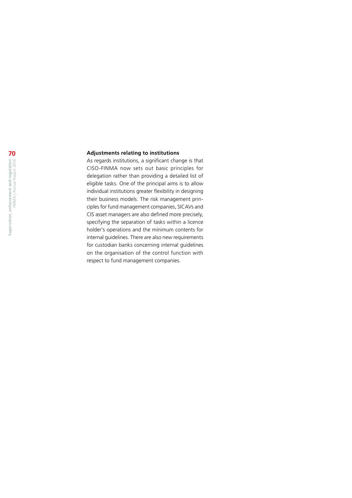#### **Adjustments relating to institutions**

As regards institutions, a significant change is that CISO -FINMA now sets out basic principles for delegation rather than providing a detailed list of eligible tasks. One of the principal aims is to allow individual institutions greater flexibility in designing their business models. The risk management principles for fund management companies, SICAVs and CIS asset managers are also defined more precisely, specifying the separation of tasks within a licence holder's operations and the minimum contents for internal guidelines. There are also new requirements for custodian banks concerning internal guidelines on the organisation of the control function with respect to fund management companies.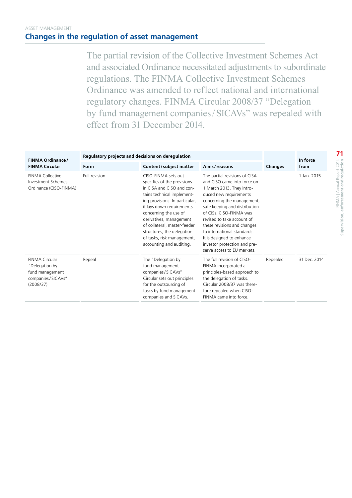#### ASSET MANAGEMENT **Changes in the regulation of asset management**

The partial revision of the Collective Investment Schemes Act and associated Ordinance necessitated adjustments to subordinate regulations. The FINMA Collective Investment Schemes Ordinance was amended to reflect national and international regulatory changes. FINMA Circular 2008/37 "Delegation by fund management companies/SICAVs" was repealed with effect from 31 December 2014.

| <b>FINMA Ordinance/</b>                                                               | Regulatory projects and decisions on deregulation |                                                                                                                                                                                                                                                                                                                                                          | In force                                                                                                                                                                                                                                                                                                                                                                                              |                |              |
|---------------------------------------------------------------------------------------|---------------------------------------------------|----------------------------------------------------------------------------------------------------------------------------------------------------------------------------------------------------------------------------------------------------------------------------------------------------------------------------------------------------------|-------------------------------------------------------------------------------------------------------------------------------------------------------------------------------------------------------------------------------------------------------------------------------------------------------------------------------------------------------------------------------------------------------|----------------|--------------|
| <b>FINMA Circular</b>                                                                 | Form                                              | Content/subject matter                                                                                                                                                                                                                                                                                                                                   | Aims/reasons                                                                                                                                                                                                                                                                                                                                                                                          | <b>Changes</b> | from         |
| <b>FINMA Collective</b><br>Investment Schemes<br>Ordinance (CISO-FINMA)               | Full revision                                     | CISO-FINMA sets out<br>specifics of the provisions<br>in CISA and CISO and con-<br>tains technical implement-<br>ing provisions. In particular,<br>it lays down requirements<br>concerning the use of<br>derivatives, management<br>of collateral, master-feeder<br>structures, the delegation<br>of tasks, risk management,<br>accounting and auditing. | The partial revisions of CISA<br>and CISO came into force on<br>1 March 2013. They intro-<br>duced new requirements<br>concerning the management,<br>safe keeping and distribution<br>of CISs. CISO-FINMA was<br>revised to take account of<br>these revisions and changes<br>to international standards.<br>It is designed to enhance<br>investor protection and pre-<br>serve access to EU markets. |                | 1 Jan. 2015  |
| FINMA Circular<br>"Delegation by<br>fund management<br>companies/SICAVs"<br>(2008/37) | Repeal                                            | The "Delegation by<br>fund management<br>companies/SICAVs"<br>Circular sets out principles<br>for the outsourcing of<br>tasks by fund management<br>companies and SICAVs.                                                                                                                                                                                | The full revision of CISO-<br>FINMA incorporated a<br>principles-based approach to<br>the delegation of tasks.<br>Circular 2008/37 was there-<br>fore repealed when CISO-<br>FINMA came into force.                                                                                                                                                                                                   | Repealed       | 31 Dec. 2014 |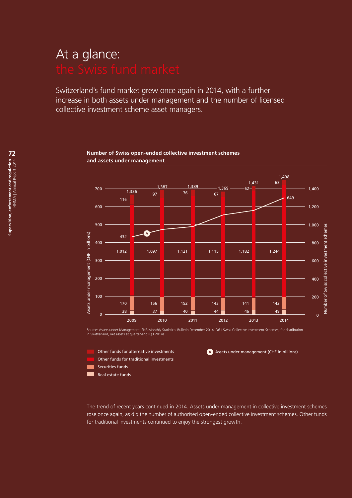# At a glance:

Switzerland's fund market grew once again in 2014, with a further increase in both assets under management and the number of licensed collective investment scheme asset managers.



#### **Number of Swiss open-ended collective investment schemes and assets under management**

Source: Assets under Management: SNB Monthly Statistical Bulletin December 2014, D61 Swiss Collective Investment Schemes, for distribution in Switzerland, net assets at quarter-end (Q3 2014).



**A** Assets under management (CHF in billions)

The trend of recent years continued in 2014. Assets under management in collective investment schemes rose once again, as did the number of authorised open-ended collective investment schemes. Other funds for traditional investments continued to enjoy the strongest growth.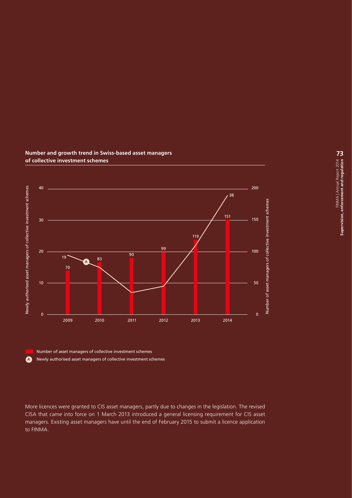

#### **Number and growth trend in Swiss-based asset managers of collective investment schemes**

Number of asset managers of collective investment schemes

**A** Newly authorised asset managers of collective investment schemes

More licences were granted to CIS asset managers, partly due to changes in the legislation. The revised CISA that came into force on 1 March 2013 introduced a general licensing requirement for CIS asset managers. Existing asset managers have until the end of February 2015 to submit a licence application to FINMA.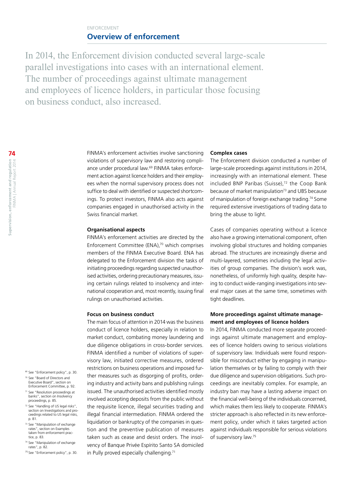#### ENFORCEMENT **Overview of enforcement**

In 2014, the Enforcement division conducted several large-scale parallel investigations into cases with an international element. The number of proceedings against ultimate management and employees of licence holders, in particular those focusing on business conduct, also increased.

> FINMA's enforcement activities involve sanctioning violations of supervisory law and restoring compliance under procedural law.<sup>69</sup> FINMA takes enforcement action against licence holders and their employees when the normal supervisory process does not suffice to deal with identified or suspected shortcomings. To protect investors, FINMA also acts against companies engaged in unauthorised activity in the Swiss financial market.

#### **Organisational aspects**

FINMA's enforcement activities are directed by the Enforcement Committee (ENA),<sup>70</sup> which comprises members of the FINMA Executive Board. ENA has delegated to the Enforcement division the tasks of initiating proceedings regarding suspected unauthorised activities, ordering precautionary measures, issuing certain rulings related to insolvency and international cooperation and, most recently, issuing final rulings on unauthorised activities.

#### **Focus on business conduct**

The main focus of attention in 2014 was the business conduct of licence holders, especially in relation to market conduct, combating money laundering and due diligence obligations in cross-border services. FINMA identified a number of violations of supervisory law, initiated corrective measures, ordered restrictions on business operations and imposed further measures such as disgorging of profits, ordering industry and activity bans and publishing rulings issued. The unauthorised activities identified mostly involved accepting deposits from the public without the requisite licence, illegal securities trading and illegal financial intermediation. FINMA ordered the liquidation or bankruptcy of the companies in question and the preventive publication of measures taken such as cease and desist orders. The insolvency of Banque Privée Espírito Santo SA domiciled in Pully proved especially challenging.<sup>71</sup>

#### **Complex cases**

The Enforcement division conducted a number of large-scale proceedings against institutions in 2014, increasingly with an international element. These included BNP Paribas (Suisse),<sup>72</sup> the Coop Bank because of market manipulation<sup>73</sup> and UBS because of manipulation of foreign exchange trading.<sup>74</sup> Some required extensive investigations of trading data to bring the abuse to light.

Cases of companies operating without a licence also have a growing international component, often involving global structures and holding companies abroad. The structures are increasingly diverse and multi-layered, sometimes including the legal activities of group companies. The division's work was, nonetheless, of uniformly high quality, despite having to conduct wide-ranging investigations into several major cases at the same time, sometimes with tight deadlines.

#### **More proceedings against ultimate management and employees of licence holders**

In 2014, FINMA conducted more separate proceedings against ultimate management and employees of licence holders owing to serious violations of supervisory law. Individuals were found responsible for misconduct either by engaging in manipulation themselves or by failing to comply with their due diligence and supervision obligations. Such proceedings are inevitably complex. For example, an industry ban may have a lasting adverse impact on the financial well-being of the individuals concerned, which makes them less likely to cooperate. FINMA's stricter approach is also reflected in its new enforcement policy, under which it takes targeted action against individuals responsible for serious violations of supervisory law.75

- <sup>69</sup> See "Enforcement policy", p. 30.
- <sup>70</sup> See "Board of Directors and Executive Board", section on Enforcement Committee, p. 92.
- <sup>71</sup> See "Resolution proceedings at banks", section on Insolvency proceedings, p. 85.
- <sup>72</sup> See "Handling of US legal risks", section on Investigations and proceedings related to US legal risks, p. 81.
- <sup>73</sup> See "Manipulation of exchange rates", section on Examples<br>taken from enforcement practice, p. 83.
- <sup>74</sup> See "Manipulation of exchange rates", p. 82.
- <sup>75</sup> See "Enforcement policy", p. 30.

**74**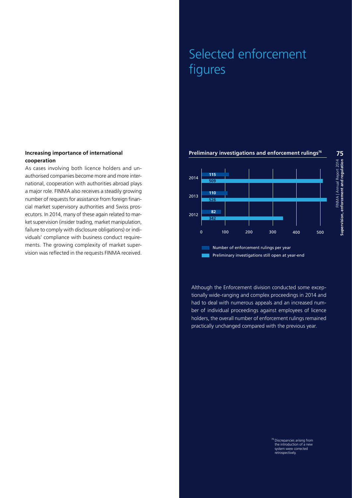#### **Increasing importance of international cooperation**

As cases involving both licence holders and unauthorised companies become more and more international, cooperation with authorities abroad plays a major role. FINMA also receives a steadily growing number of requests for assistance from foreign financial market supervisory authorities and Swiss prosecutors. In 2014, many of these again related to market supervision (insider trading, market manipulation, failure to comply with disclosure obligations) or individuals' compliance with business conduct requirements. The growing complexity of market supervision was reflected in the requests FINMA received.

# Selected enforcement figures

#### **Preliminary investigations and enforcement rulings<sup>76</sup>**



Although the Enforcement division conducted some exceptionally wide-ranging and complex proceedings in 2014 and had to deal with numerous appeals and an increased number of individual proceedings against employees of licence holders, the overall number of enforcement rulings remained practically unchanged compared with the previous year.

> 76 Discrepancies arising from the introduction of a new system were corrected retrospectively.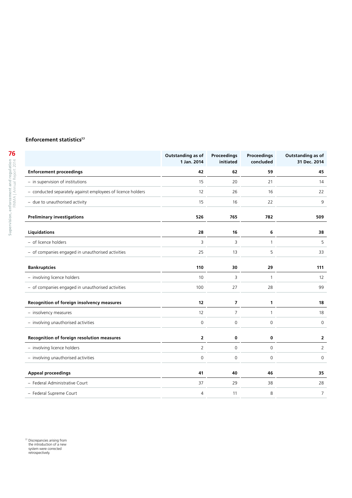#### **Enforcement statistics<sup>77</sup>**

|                                                             | Outstanding as of<br>1 Jan. 2014 | <b>Proceedings</b><br>initiated | <b>Proceedings</b><br>concluded | Outstanding as of<br>31 Dec. 2014 |
|-------------------------------------------------------------|----------------------------------|---------------------------------|---------------------------------|-----------------------------------|
| <b>Enforcement proceedings</b>                              | 42                               | 62                              | 59                              | 45                                |
| - in supervision of institutions                            | 15                               | 20                              | 21                              | 14                                |
| - conducted separately against employees of licence holders | 12                               | 26                              | 16                              | 22                                |
| - due to unauthorised activity                              | 15                               | 16                              | 22                              | 9                                 |
| <b>Preliminary investigations</b>                           | 526                              | 765                             | 782                             | 509                               |
| Liquidations                                                | 28                               | 16                              | 6                               | 38                                |
| - of licence holders                                        | 3                                | 3                               | $\mathbf{1}$                    | 5                                 |
| - of companies engaged in unauthorised activities           | 25                               | 13                              | 5                               | 33                                |
| <b>Bankruptcies</b>                                         | 110                              | 30                              | 29                              | 111                               |
| - involving licence holders                                 | 10                               | 3                               | $\mathbf{1}$                    | 12                                |
| - of companies engaged in unauthorised activities           | 100                              | 27                              | 28                              | 99                                |
| Recognition of foreign insolvency measures                  | 12                               | $\boldsymbol{7}$                | 1                               | 18                                |
| - insolvency measures                                       | 12                               | $\overline{7}$                  | 1                               | 18                                |
| - involving unauthorised activities                         | $\mathbf 0$                      | $\mathsf 0$                     | $\mathsf O$                     | $\mathbf 0$                       |
| Recognition of foreign resolution measures                  | $\overline{2}$                   | 0                               | 0                               | $\mathbf{2}$                      |
| - involving licence holders                                 | $\overline{2}$                   | $\mathsf 0$                     | 0                               | $\overline{2}$                    |
| - involving unauthorised activities                         | $\Omega$                         | $\mathbf 0$                     | $\Omega$                        | $\Omega$                          |
| <b>Appeal proceedings</b>                                   | 41                               | 40                              | 46                              | 35                                |
| - Federal Administrative Court                              | 37                               | 29                              | 38                              | 28                                |
| - Federal Supreme Court                                     | 4                                | 11                              | 8                               | $\overline{7}$                    |

<sup>77</sup> Discrepancies arising from the introduction of a new system were corrected retrospectively.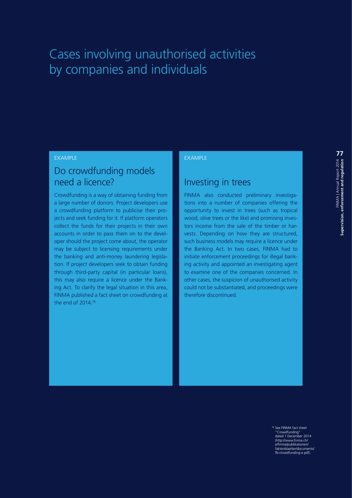# Cases involving unauthorised activities by companies and individuals

#### EXAMPLE

## Do crowdfunding models need a licence?

Crowdfunding is a way of obtaining funding from a large number of donors. Project developers use a crowdfunding platform to publicise their projects and seek funding for it. If platform operators collect the funds for their projects in their own accounts in order to pass them on to the developer should the project come about, the operator may be subject to licensing requirements under the banking and anti-money laundering legislation. If project developers seek to obtain funding through third-party capital (in particular loans), this may also require a licence under the Banking Act. To clarify the legal situation in this area, FINMA published a fact sheet on crowdfunding at the end of 2014.78

#### EXAMPLE

### Investing in trees

FINMA also conducted preliminary investigations into a number of companies offering the opportunity to invest in trees (such as tropical wood, olive trees or the like) and promising investors income from the sale of the timber or harvests. Depending on how they are structured, such business models may require a licence under the Banking Act. In two cases, FINMA had to initiate enforcement proceedings for illegal banking activity and appointed an investigating agent to examine one of the companies concerned. In other cases, the suspicion of unauthorised activity could not be substantiated, and proceedings were therefore discontinued.

<sup>78</sup> See FINMA fact sheet "Crowdfunding" dated 1 December 2014 [\(http://www.finma.ch/](http://www.finma.ch/e/finma/publikationen/faktenblaetter/documents/fb-crowdfunding-e.pdf) [e/finma/publikationen/](http://www.finma.ch/e/finma/publikationen/faktenblaetter/documents/fb-crowdfunding-e.pdf) [faktenblaetter/documents/](http://www.finma.ch/e/finma/publikationen/faktenblaetter/documents/fb-crowdfunding-e.pdf) [fb-crowdfunding-e.pdf\)](http://www.finma.ch/e/finma/publikationen/faktenblaetter/documents/fb-crowdfunding-e.pdf).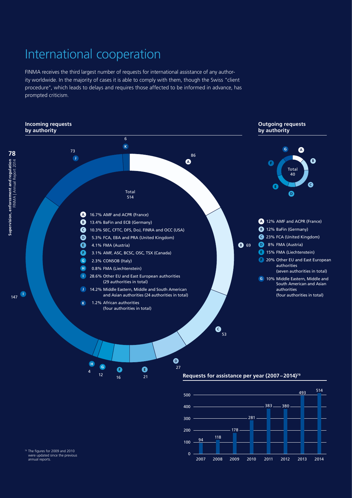# International cooperation

FINMA receives the third largest number of requests for international assistance of any authority worldwide. In the majority of cases it is able to comply with them, though the Swiss "client procedure", which leads to delays and requires those affected to be informed in advance, has prompted criticism.





<sup>79</sup> The figures for 2009 and 2010 were updated since the previous annual reports.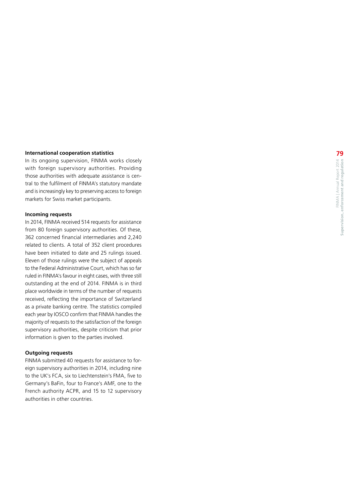#### **International cooperation statistics**

In its ongoing supervision, FINMA works closely with foreign supervisory authorities. Providing those authorities with adequate assistance is cen tral to the fulfilment of FINMA's statutory mandate and is increasingly key to preserving access to foreign markets for Swiss market participants.

#### **Incoming requests**

In 2014, FINMA received 514 requests for assistance from 80 foreign supervisory authorities. Of these, 362 concerned financial intermediaries and 2,240 related to clients. A total of 352 client procedures have been initiated to date and 25 rulings issued. Eleven of those rulings were the subject of appeals to the Federal Administrative Court, which has so far ruled in FINMA's favour in eight cases, with three still outstanding at the end of 2014. FINMA is in third place worldwide in terms of the number of requests received, reflecting the importance of Switzerland as a private banking centre. The statistics compiled each year by IOSCO confirm that FINMA handles the majority of requests to the satisfaction of the foreign supervisory authorities, despite criticism that prior information is given to the parties involved.

#### **Outgoing requests**

FINMA submitted 40 requests for assistance to for eign supervisory authorities in 2014, including nine to the UK's FCA, six to Liechtenstein's FMA, five to Germany's BaFin, four to France's AMF, one to the French authority ACPR, and 15 to 12 supervisory authorities in other countries.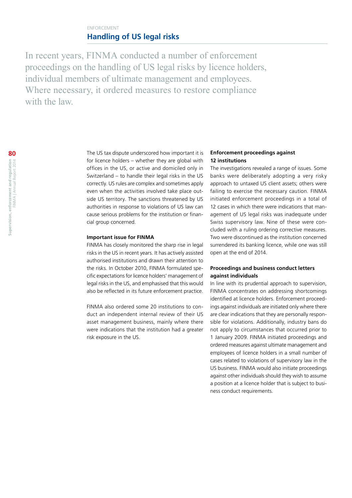#### ENFORCEMENT **Handling of US legal risks**

In recent years, FINMA conducted a number of enforcement proceedings on the handling of US legal risks by licence holders, individual members of ultimate management and employees. Where necessary, it ordered measures to restore compliance with the law

> The US tax dispute underscored how important it is for licence holders – whether they are global with offices in the US, or active and domiciled only in Switzerland – to handle their legal risks in the US correctly. US rules are complex and sometimes apply even when the activities involved take place outside US territory. The sanctions threatened by US authorities in response to violations of US law can cause serious problems for the institution or financial group concerned.

#### **Important issue for FINMA**

FINMA has closely monitored the sharp rise in legal risks in the US in recent years. It has actively assisted authorised institutions and drawn their attention to the risks. In October 2010, FINMA formulated specific expectations for licence holders' management of legal risks in the US, and emphasised that this would also be reflected in its future enforcement practice.

FINMA also ordered some 20 institutions to conduct an independent internal review of their US asset management business, mainly where there were indications that the institution had a greater risk exposure in the US.

#### **Enforcement proceedings against 12 institutions**

The investigations revealed a range of issues. Some banks were deliberately adopting a very risky approach to untaxed US client assets; others were failing to exercise the necessary caution. FINMA initiated enforcement proceedings in a total of 12 cases in which there were indications that management of US legal risks was inadequate under Swiss supervisory law. Nine of these were concluded with a ruling ordering corrective measures. Two were discontinued as the institution concerned surrendered its banking licence, while one was still open at the end of 2014.

#### **Proceedings and business conduct letters against individuals**

In line with its prudential approach to supervision, FINMA concentrates on addressing shortcomings identified at licence holders. Enforcement proceedings against individuals are initiated only where there are clear indications that they are personally responsible for violations. Additionally, industry bans do not apply to circumstances that occurred prior to 1 January 2009. FINMA initiated proceedings and ordered measures against ultimate management and employees of licence holders in a small number of cases related to violations of supervisory law in the US business. FINMA would also initiate proceedings against other individuals should they wish to assume a position at a licence holder that is subject to business conduct requirements.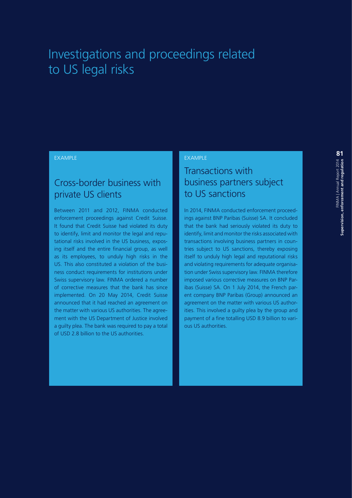## Investigations and proceedings related to US legal risks

#### EXAMPLE

### Cross-border business with private US clients

Between 2011 and 2012, FINMA conducted enforcement proceedings against Credit Suisse. It found that Credit Suisse had violated its duty to identify, limit and monitor the legal and reputational risks involved in the US business, exposing itself and the entire financial group, as well as its employees, to unduly high risks in the US. This also constituted a violation of the business conduct requirements for institutions under Swiss supervisory law. FINMA ordered a number of corrective measures that the bank has since implemented. On 20 May 2014, Credit Suisse announced that it had reached an agreement on the matter with various US authorities. The agreement with the US Department of Justice involved a guilty plea. The bank was required to pay a total of USD 2.8 billion to the US authorities.

#### EXAMPLE

## Transactions with business partners subject to US sanctions

In 2014, FINMA conducted enforcement proceedings against BNP Paribas (Suisse) SA. It concluded that the bank had seriously violated its duty to identify, limit and monitor the risks associated with transactions involving business partners in countries subject to US sanctions, thereby exposing itself to unduly high legal and reputational risks and violating requirements for adequate organisation under Swiss supervisory law. FINMA therefore imposed various corrective measures on BNP Paribas (Suisse) SA. On 1 July 2014, the French parent company BNP Paribas (Group) announced an agreement on the matter with various US authorities. This involved a guilty plea by the group and payment of a fine totalling USD 8.9 billion to various US authorities.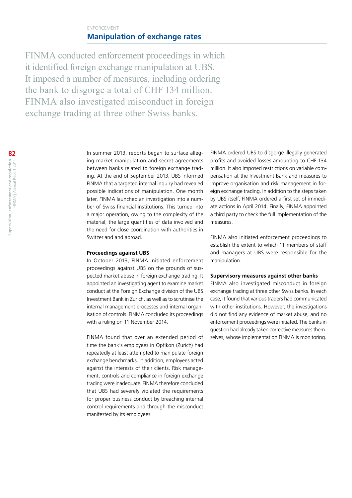#### ENFORCEMENT **Manipulation of exchange rates**

FINMA conducted enforcement proceedings in which it identified foreign exchange manipulation at UBS. It imposed a number of measures, including ordering the bank to disgorge a total of CHF 134 million. FINMA also investigated misconduct in foreign exchange trading at three other Swiss banks.

> In summer 2013, reports began to surface alleging market manipulation and secret agreements between banks related to foreign exchange trading. At the end of September 2013, UBS informed FINMA that a targeted internal inquiry had revealed possible indications of manipulation. One month later, FINMA launched an investigation into a number of Swiss financial institutions. This turned into a major operation, owing to the complexity of the material, the large quantities of data involved and the need for close coordination with authorities in Switzerland and abroad.

#### **Proceedings against UBS**

In October 2013, FINMA initiated enforcement proceedings against UBS on the grounds of suspected market abuse in foreign exchange trading. It appointed an investigating agent to examine market conduct at the Foreign Exchange division of the UBS Investment Bank in Zurich, as well as to scrutinise the internal management processes and internal organisation of controls. FINMA concluded its proceedings with a ruling on 11 November 2014.

FINMA found that over an extended period of time the bank's employees in Opfikon (Zurich) had repeatedly at least attempted to manipulate foreign exchange benchmarks. In addition, employees acted against the interests of their clients. Risk management, controls and compliance in foreign exchange trading were inadequate. FINMA therefore concluded that UBS had severely violated the requirements for proper business conduct by breaching internal control requirements and through the misconduct manifested by its employees.

FINMA ordered UBS to disgorge illegally generated profits and avoided losses amounting to CHF 134 million. It also imposed restrictions on variable compensation at the Investment Bank and measures to improve organisation and risk management in foreign exchange trading. In addition to the steps taken by UBS itself, FINMA ordered a first set of immediate actions in April 2014. Finally, FINMA appointed a third party to check the full implementation of the measures.

FINMA also initiated enforcement proceedings to establish the extent to which 11 members of staff and managers at UBS were responsible for the manipulation.

#### **Supervisory measures against other banks**

FINMA also investigated misconduct in foreign exchange trading at three other Swiss banks. In each case, it found that various traders had communicated with other institutions. However, the investigations did not find any evidence of market abuse, and no enforcement proceedings were initiated. The banks in question had already taken corrective measures themselves, whose implementation FINMA is monitoring.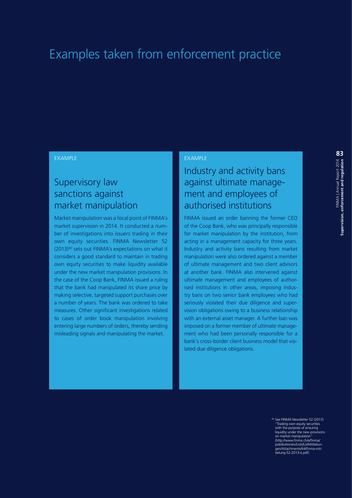## Examples taken from enforcement practice

#### EXAMPLE

## Supervisory law sanctions against market manipulation

Market manipulation was a focal point of FINMA's market supervision in 2014. It conducted a number of investigations into issuers trading in their own equity securities. FINMA Newsletter 52 (2013)<sup>80</sup> sets out FINMA's expectations on what it considers a good standard to maintain in trading own equity securities to make liquidity available under the new market manipulation provisions. In the case of the Coop Bank, FINMA issued a ruling that the bank had manipulated its share price by making selective, targeted support purchases over a number of years. The bank was ordered to take measures. Other significant investigations related to cases of order book manipulation involving entering large numbers of orders, thereby sending misleading signals and manipulating the market.

#### EXAMPLE

## Industry and activity bans against ultimate management and employees of authorised institutions

FINMA issued an order banning the former CEO of the Coop Bank, who was principally responsible for market manipulation by the institution, from acting in a management capacity for three years. Industry and activity bans resulting from market manipulation were also ordered against a member of ultimate management and two client advisors at another bank. FINMA also intervened against ultimate management and employees of authorised institutions in other areas, imposing industry bans on two senior bank employees who had seriously violated their due diligence and supervision obligations owing to a business relationship with an external asset manager. A further ban was imposed on a former member of ultimate management who had been personally responsible for a bank's cross-border client business model that violated due diligence obligations.

<sup>80</sup> See FINMA Newsletter 52 (2013) "Trading own equity securities with the purpose of ensuring liquidity under the new provisions on market manipulation" [\(http://www.finma.ch/e/finma/](http://www.finma.ch/e/finma/publikationen/Lists/ListMitteilungen/Attachments/64/finma-mitteilung-52-2013-e.pdf) [publikationen/Lists/ListMitteilun-](http://www.finma.ch/e/finma/publikationen/Lists/ListMitteilungen/Attachments/64/finma-mitteilung-52-2013-e.pdf)[gen/Attachments/64/finma-mit](http://www.finma.ch/e/finma/publikationen/Lists/ListMitteilungen/Attachments/64/finma-mitteilung-52-2013-e.pdf)-[teilung-52-2013-e.pdf](http://www.finma.ch/e/finma/publikationen/Lists/ListMitteilungen/Attachments/64/finma-mitteilung-52-2013-e.pdf)).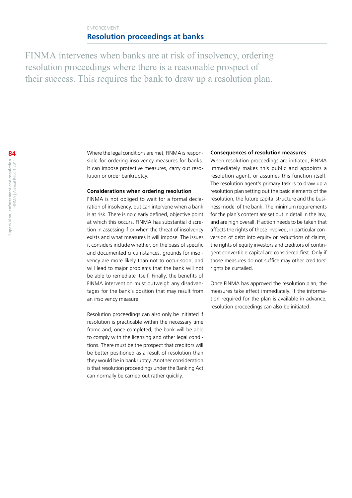#### ENFORCEMENT **Resolution proceedings at banks**

FINMA intervenes when banks are at risk of insolvency, ordering resolution proceedings where there is a reasonable prospect of their success. This requires the bank to draw up a resolution plan.

> Where the legal conditions are met, FINMA is responsible for ordering insolvency measures for banks. It can impose protective measures, carry out resolution or order bankruptcy.

#### **Considerations when ordering resolution**

FINMA is not obliged to wait for a formal declaration of insolvency, but can intervene when a bank is at risk. There is no clearly defined, objective point at which this occurs. FINMA has substantial discretion in assessing if or when the threat of insolvency exists and what measures it will impose. The issues it considers include whether, on the basis of specific and documented circumstances, grounds for insolvency are more likely than not to occur soon, and will lead to major problems that the bank will not be able to remediate itself. Finally, the benefits of FINMA intervention must outweigh any disadvantages for the bank's position that may result from an insolvency measure.

Resolution proceedings can also only be initiated if resolution is practicable within the necessary time frame and, once completed, the bank will be able to comply with the licensing and other legal conditions. There must be the prospect that creditors will be better positioned as a result of resolution than they would be in bankruptcy. Another consideration is that resolution proceedings under the Banking Act can normally be carried out rather quickly.

#### **Consequences of resolution measures**

When resolution proceedings are initiated, FINMA immediately makes this public and appoints a resolution agent, or assumes this function itself. The resolution agent's primary task is to draw up a resolution plan setting out the basic elements of the resolution, the future capital structure and the business model of the bank. The minimum requirements for the plan's content are set out in detail in the law, and are high overall. If action needs to be taken that affects the rights of those involved, in particular conversion of debt into equity or reductions of claims, the rights of equity investors and creditors of contingent convertible capital are considered first. Only if those measures do not suffice may other creditors' rights be curtailed.

Once FINMA has approved the resolution plan, the measures take effect immediately. If the information required for the plan is available in advance, resolution proceedings can also be initiated.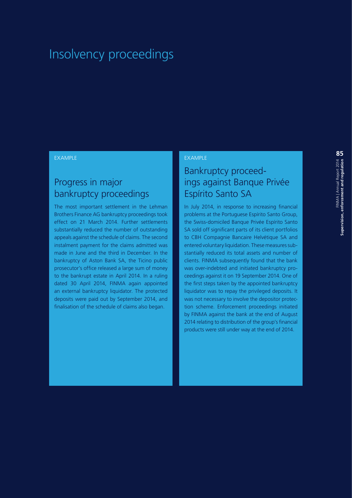## Insolvency proceedings

#### EXAMPLE

## Progress in major bankruptcy proceedings

The most important settlement in the Lehman Brothers Finance AG bankruptcy proceedings took effect on 21 March 2014. Further settlements substantially reduced the number of outstanding appeals against the schedule of claims. The second instalment payment for the claims admitted was made in June and the third in December. In the bankruptcy of Aston Bank SA, the Ticino public prosecutor's office released a large sum of money to the bankrupt estate in April 2014. In a ruling dated 30 April 2014, FINMA again appointed an external bankruptcy liquidator. The protected deposits were paid out by September 2014, and finalisation of the schedule of claims also began.

#### EXAMPLE

## Bankruptcy proceedings against Banque Privée Espírito Santo SA

In July 2014, in response to increasing financial problems at the Portuguese Espírito Santo Group, the Swiss-domiciled Banque Privée Espírito Santo SA sold off significant parts of its client portfolios to CBH Compagnie Bancaire Helvétique SA and entered voluntary liquidation. These measures substantially reduced its total assets and number of clients. FINMA subsequently found that the bank was over-indebted and initiated bankruptcy proceedings against it on 19 September 2014. One of the first steps taken by the appointed bankruptcy liquidator was to repay the privileged deposits. It was not necessary to involve the depositor protection scheme. Enforcement proceedings initiated by FINMA against the bank at the end of August 2014 relating to distribution of the group's financial products were still under way at the end of 2014.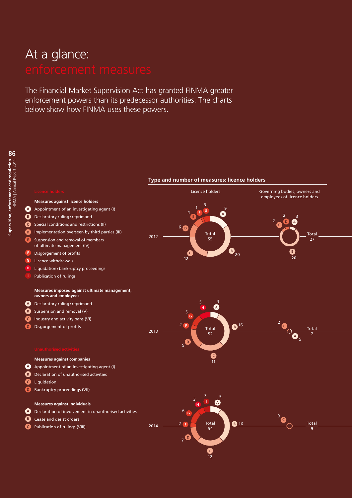# At a glance:

The Financial Market Supervision Act has granted FINMA greater enforcement powers than its predecessor authorities. The charts below show how FINMA uses these powers.